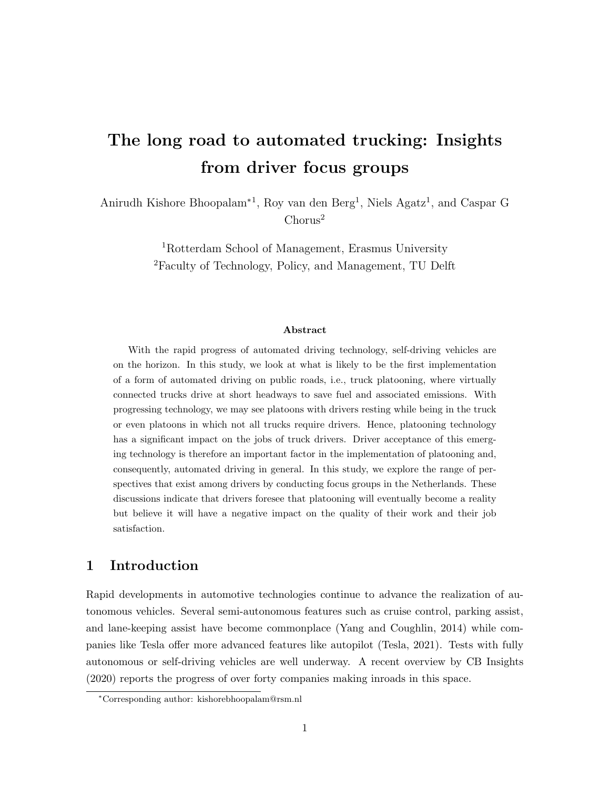# The long road to automated trucking: Insights from driver focus groups

Anirudh Kishore Bhoopalam<sup>\*1</sup>, Roy van den Berg<sup>1</sup>, Niels Agatz<sup>1</sup>, and Caspar G  $Chorus<sup>2</sup>$ 

> <sup>1</sup>Rotterdam School of Management, Erasmus University <sup>2</sup>Faculty of Technology, Policy, and Management, TU Delft

#### Abstract

With the rapid progress of automated driving technology, self-driving vehicles are on the horizon. In this study, we look at what is likely to be the first implementation of a form of automated driving on public roads, i.e., truck platooning, where virtually connected trucks drive at short headways to save fuel and associated emissions. With progressing technology, we may see platoons with drivers resting while being in the truck or even platoons in which not all trucks require drivers. Hence, platooning technology has a significant impact on the jobs of truck drivers. Driver acceptance of this emerging technology is therefore an important factor in the implementation of platooning and, consequently, automated driving in general. In this study, we explore the range of perspectives that exist among drivers by conducting focus groups in the Netherlands. These discussions indicate that drivers foresee that platooning will eventually become a reality but believe it will have a negative impact on the quality of their work and their job satisfaction.

# <span id="page-0-0"></span>1 Introduction

Rapid developments in automotive technologies continue to advance the realization of autonomous vehicles. Several semi-autonomous features such as cruise control, parking assist, and lane-keeping assist have become commonplace [\(Yang and Coughlin, 2014\)](#page-27-0) while companies like Tesla offer more advanced features like autopilot [\(Tesla, 2021\)](#page-26-0). Tests with fully autonomous or self-driving vehicles are well underway. A recent overview by [CB Insights](#page-20-0) [\(2020\)](#page-20-0) reports the progress of over forty companies making inroads in this space.

<sup>∗</sup>Corresponding author: kishorebhoopalam@rsm.nl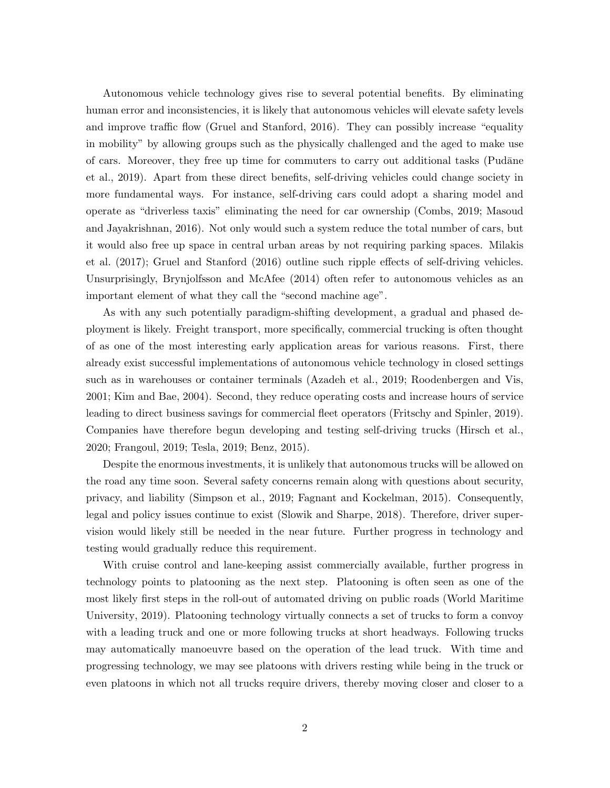Autonomous vehicle technology gives rise to several potential benefits. By eliminating human error and inconsistencies, it is likely that autonomous vehicles will elevate safety levels and improve traffic flow [\(Gruel and Stanford, 2016\)](#page-21-0). They can possibly increase "equality in mobility" by allowing groups such as the physically challenged and the aged to make use of cars. Moreover, they free up time for commuters to carry out additional tasks (Pudane [et al., 2019\)](#page-25-0). Apart from these direct benefits, self-driving vehicles could change society in more fundamental ways. For instance, self-driving cars could adopt a sharing model and operate as "driverless taxis" eliminating the need for car ownership [\(Combs, 2019;](#page-20-1) [Masoud](#page-24-0) [and Jayakrishnan, 2016\)](#page-24-0). Not only would such a system reduce the total number of cars, but it would also free up space in central urban areas by not requiring parking spaces. [Milakis](#page-24-1) [et al.](#page-24-1) [\(2017\)](#page-24-1); [Gruel and Stanford](#page-21-0) [\(2016\)](#page-21-0) outline such ripple effects of self-driving vehicles. Unsurprisingly, [Brynjolfsson and McAfee](#page-19-0) [\(2014\)](#page-19-0) often refer to autonomous vehicles as an important element of what they call the "second machine age".

As with any such potentially paradigm-shifting development, a gradual and phased deployment is likely. Freight transport, more specifically, commercial trucking is often thought of as one of the most interesting early application areas for various reasons. First, there already exist successful implementations of autonomous vehicle technology in closed settings such as in warehouses or container terminals [\(Azadeh et al., 2019;](#page-18-0) [Roodenbergen and Vis,](#page-26-1) [2001;](#page-26-1) [Kim and Bae, 2004\)](#page-23-0). Second, they reduce operating costs and increase hours of service leading to direct business savings for commercial fleet operators [\(Fritschy and Spinler, 2019\)](#page-21-1). Companies have therefore begun developing and testing self-driving trucks [\(Hirsch et al.,](#page-22-0) [2020;](#page-22-0) [Frangoul, 2019;](#page-21-2) [Tesla, 2019;](#page-26-2) [Benz, 2015\)](#page-19-1).

Despite the enormous investments, it is unlikely that autonomous trucks will be allowed on the road any time soon. Several safety concerns remain along with questions about security, privacy, and liability [\(Simpson et al., 2019;](#page-26-3) [Fagnant and Kockelman, 2015\)](#page-20-2). Consequently, legal and policy issues continue to exist [\(Slowik and Sharpe, 2018\)](#page-26-4). Therefore, driver supervision would likely still be needed in the near future. Further progress in technology and testing would gradually reduce this requirement.

With cruise control and lane-keeping assist commercially available, further progress in technology points to platooning as the next step. Platooning is often seen as one of the most likely first steps in the roll-out of automated driving on public roads [\(World Maritime](#page-27-1) [University, 2019\)](#page-27-1). Platooning technology virtually connects a set of trucks to form a convoy with a leading truck and one or more following trucks at short headways. Following trucks may automatically manoeuvre based on the operation of the lead truck. With time and progressing technology, we may see platoons with drivers resting while being in the truck or even platoons in which not all trucks require drivers, thereby moving closer and closer to a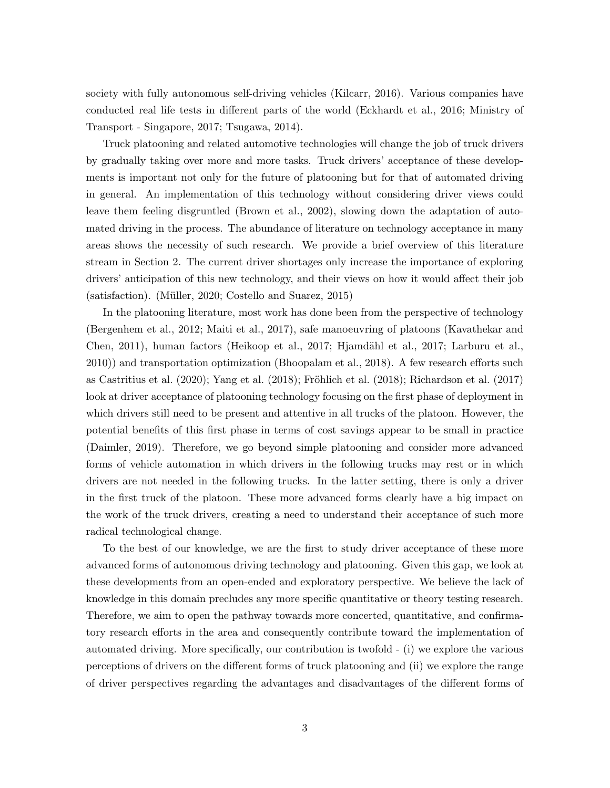society with fully autonomous self-driving vehicles [\(Kilcarr, 2016\)](#page-23-1). Various companies have conducted real life tests in different parts of the world [\(Eckhardt et al., 2016;](#page-20-3) [Ministry of](#page-24-2) [Transport - Singapore, 2017;](#page-24-2) [Tsugawa, 2014\)](#page-26-5).

Truck platooning and related automotive technologies will change the job of truck drivers by gradually taking over more and more tasks. Truck drivers' acceptance of these developments is important not only for the future of platooning but for that of automated driving in general. An implementation of this technology without considering driver views could leave them feeling disgruntled [\(Brown et al., 2002\)](#page-19-2), slowing down the adaptation of automated driving in the process. The abundance of literature on technology acceptance in many areas shows the necessity of such research. We provide a brief overview of this literature stream in Section [2.](#page-3-0) The current driver shortages only increase the importance of exploring drivers' anticipation of this new technology, and their views on how it would affect their job  $(satisfactor)$ . (Müller, 2020; [Costello and Suarez, 2015\)](#page-20-4)

In the platooning literature, most work has done been from the perspective of technology [\(Bergenhem et al., 2012;](#page-19-3) [Maiti et al., 2017\)](#page-23-2), safe manoeuvring of platoons [\(Kavathekar and](#page-22-1) [Chen, 2011\)](#page-22-1), human factors [\(Heikoop et al., 2017;](#page-22-2) Hjamdähl et al., 2017; [Larburu et al.,](#page-23-3) [2010\)](#page-23-3)) and transportation optimization [\(Bhoopalam et al., 2018\)](#page-19-4). A few research efforts such as [Castritius et al.](#page-19-5)  $(2020)$ ; [Yang et al.](#page-27-2)  $(2018)$ ; Fröhlich et al.  $(2018)$ ; [Richardson et al.](#page-25-1)  $(2017)$ look at driver acceptance of platooning technology focusing on the first phase of deployment in which drivers still need to be present and attentive in all trucks of the platoon. However, the potential benefits of this first phase in terms of cost savings appear to be small in practice [\(Daimler, 2019\)](#page-20-5). Therefore, we go beyond simple platooning and consider more advanced forms of vehicle automation in which drivers in the following trucks may rest or in which drivers are not needed in the following trucks. In the latter setting, there is only a driver in the first truck of the platoon. These more advanced forms clearly have a big impact on the work of the truck drivers, creating a need to understand their acceptance of such more radical technological change.

To the best of our knowledge, we are the first to study driver acceptance of these more advanced forms of autonomous driving technology and platooning. Given this gap, we look at these developments from an open-ended and exploratory perspective. We believe the lack of knowledge in this domain precludes any more specific quantitative or theory testing research. Therefore, we aim to open the pathway towards more concerted, quantitative, and confirmatory research efforts in the area and consequently contribute toward the implementation of automated driving. More specifically, our contribution is twofold - (i) we explore the various perceptions of drivers on the different forms of truck platooning and (ii) we explore the range of driver perspectives regarding the advantages and disadvantages of the different forms of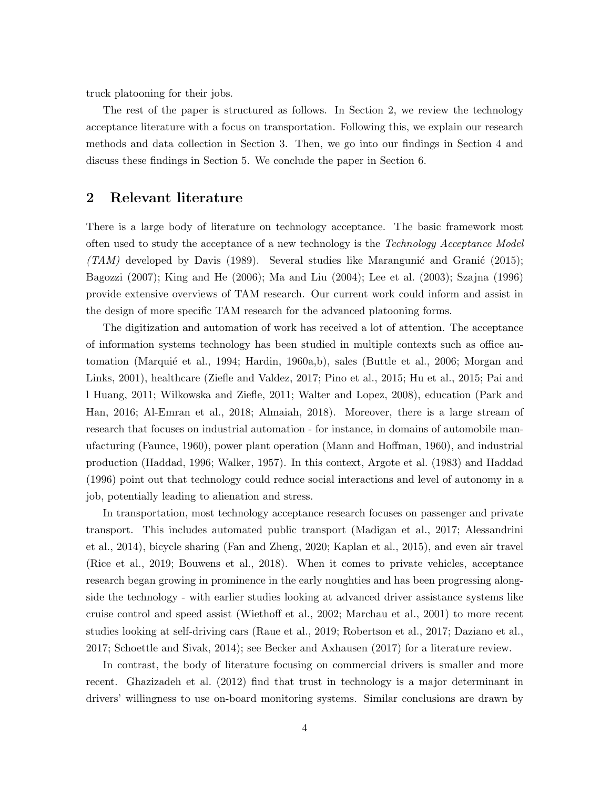truck platooning for their jobs.

The rest of the paper is structured as follows. In Section [2,](#page-3-0) we review the technology acceptance literature with a focus on transportation. Following this, we explain our research methods and data collection in Section [3.](#page-4-0) Then, we go into our findings in Section [4](#page-7-0) and discuss these findings in Section [5.](#page-15-0) We conclude the paper in Section [6.](#page-17-0)

## <span id="page-3-0"></span>2 Relevant literature

There is a large body of literature on technology acceptance. The basic framework most often used to study the acceptance of a new technology is the Technology Acceptance Model  $(TAM)$  developed by [Davis](#page-20-6) [\(1989\)](#page-20-6). Several studies like Marangunić and Granić [\(2015\)](#page-23-4); [Bagozzi](#page-18-1) [\(2007\)](#page-18-1); [King and He](#page-23-5) [\(2006\)](#page-23-5); [Ma and Liu](#page-23-6) [\(2004\)](#page-23-6); [Lee et al.](#page-23-7) [\(2003\)](#page-23-7); [Szajna](#page-26-6) [\(1996\)](#page-26-6) provide extensive overviews of TAM research. Our current work could inform and assist in the design of more specific TAM research for the advanced platooning forms.

The digitization and automation of work has received a lot of attention. The acceptance of information systems technology has been studied in multiple contexts such as office au-tomation (Marquié et al., 1994; [Hardin, 1960a,](#page-21-4)[b\)](#page-21-5), sales [\(Buttle et al., 2006;](#page-19-6) [Morgan and](#page-24-5) [Links, 2001\)](#page-24-5), healthcare [\(Ziefle and Valdez, 2017;](#page-27-3) [Pino et al., 2015;](#page-25-2) [Hu et al., 2015;](#page-22-4) [Pai and](#page-25-3) [l Huang, 2011;](#page-25-3) [Wilkowska and Ziefle, 2011;](#page-27-4) [Walter and Lopez, 2008\)](#page-27-5), education [\(Park and](#page-25-4) [Han, 2016;](#page-25-4) [Al-Emran et al., 2018;](#page-18-2) [Almaiah, 2018\)](#page-18-3). Moreover, there is a large stream of research that focuses on industrial automation - for instance, in domains of automobile manufacturing [\(Faunce, 1960\)](#page-21-6), power plant operation [\(Mann and Hoffman, 1960\)](#page-23-8), and industrial production [\(Haddad, 1996;](#page-21-7) [Walker, 1957\)](#page-26-7). In this context, [Argote et al.](#page-18-4) [\(1983\)](#page-18-4) and [Haddad](#page-21-7) [\(1996\)](#page-21-7) point out that technology could reduce social interactions and level of autonomy in a job, potentially leading to alienation and stress.

In transportation, most technology acceptance research focuses on passenger and private transport. This includes automated public transport [\(Madigan et al., 2017;](#page-23-9) [Alessandrini](#page-18-5) [et al., 2014\)](#page-18-5), bicycle sharing [\(Fan and Zheng, 2020;](#page-20-7) [Kaplan et al., 2015\)](#page-22-5), and even air travel [\(Rice et al., 2019;](#page-25-5) [Bouwens et al., 2018\)](#page-19-7). When it comes to private vehicles, acceptance research began growing in prominence in the early noughties and has been progressing alongside the technology - with earlier studies looking at advanced driver assistance systems like cruise control and speed assist [\(Wiethoff et al., 2002;](#page-27-6) [Marchau et al., 2001\)](#page-23-10) to more recent studies looking at self-driving cars [\(Raue et al., 2019;](#page-25-6) [Robertson et al., 2017;](#page-25-7) [Daziano et al.,](#page-20-8) [2017;](#page-20-8) [Schoettle and Sivak, 2014\)](#page-26-8); see [Becker and Axhausen](#page-19-8) [\(2017\)](#page-19-8) for a literature review.

In contrast, the body of literature focusing on commercial drivers is smaller and more recent. [Ghazizadeh et al.](#page-21-8) [\(2012\)](#page-21-8) find that trust in technology is a major determinant in drivers' willingness to use on-board monitoring systems. Similar conclusions are drawn by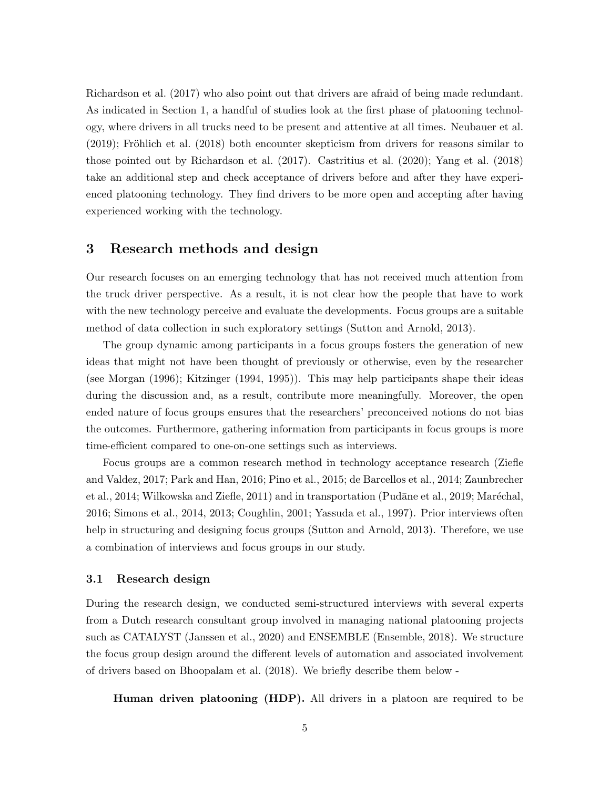[Richardson et al.](#page-25-1) [\(2017\)](#page-25-1) who also point out that drivers are afraid of being made redundant. As indicated in Section [1,](#page-0-0) a handful of studies look at the first phase of platooning technology, where drivers in all trucks need to be present and attentive at all times. [Neubauer et al.](#page-24-6)  $(2019)$ ; Fröhlich et al.  $(2018)$  both encounter skepticism from drivers for reasons similar to those pointed out by [Richardson et al.](#page-25-1) [\(2017\)](#page-25-1). [Castritius et al.](#page-19-5) [\(2020\)](#page-19-5); [Yang et al.](#page-27-2) [\(2018\)](#page-27-2) take an additional step and check acceptance of drivers before and after they have experienced platooning technology. They find drivers to be more open and accepting after having experienced working with the technology.

## <span id="page-4-0"></span>3 Research methods and design

Our research focuses on an emerging technology that has not received much attention from the truck driver perspective. As a result, it is not clear how the people that have to work with the new technology perceive and evaluate the developments. Focus groups are a suitable method of data collection in such exploratory settings [\(Sutton and Arnold, 2013\)](#page-26-9).

The group dynamic among participants in a focus groups fosters the generation of new ideas that might not have been thought of previously or otherwise, even by the researcher (see [Morgan](#page-24-7) [\(1996\)](#page-24-7); [Kitzinger](#page-23-11) [\(1994,](#page-23-11) [1995\)](#page-23-12)). This may help participants shape their ideas during the discussion and, as a result, contribute more meaningfully. Moreover, the open ended nature of focus groups ensures that the researchers' preconceived notions do not bias the outcomes. Furthermore, gathering information from participants in focus groups is more time-efficient compared to one-on-one settings such as interviews.

Focus groups are a common research method in technology acceptance research [\(Ziefle](#page-27-3) [and Valdez, 2017;](#page-27-3) [Park and Han, 2016;](#page-25-4) [Pino et al., 2015;](#page-25-2) [de Barcellos et al., 2014;](#page-19-9) [Zaunbrecher](#page-27-7) [et al., 2014;](#page-27-7) [Wilkowska and Ziefle, 2011\)](#page-27-4) and in transportation (Pudāne et al., 2019; Maréchal, [2016;](#page-24-8) [Simons et al., 2014,](#page-26-10) [2013;](#page-26-11) [Coughlin, 2001;](#page-20-9) [Yassuda et al., 1997\)](#page-27-8). Prior interviews often help in structuring and designing focus groups [\(Sutton and Arnold, 2013\)](#page-26-9). Therefore, we use a combination of interviews and focus groups in our study.

#### 3.1 Research design

During the research design, we conducted semi-structured interviews with several experts from a Dutch research consultant group involved in managing national platooning projects such as CATALYST [\(Janssen et al., 2020\)](#page-22-6) and ENSEMBLE [\(Ensemble, 2018\)](#page-20-10). We structure the focus group design around the different levels of automation and associated involvement of drivers based on [Bhoopalam et al.](#page-19-4) [\(2018\)](#page-19-4). We briefly describe them below -

Human driven platooning (HDP). All drivers in a platoon are required to be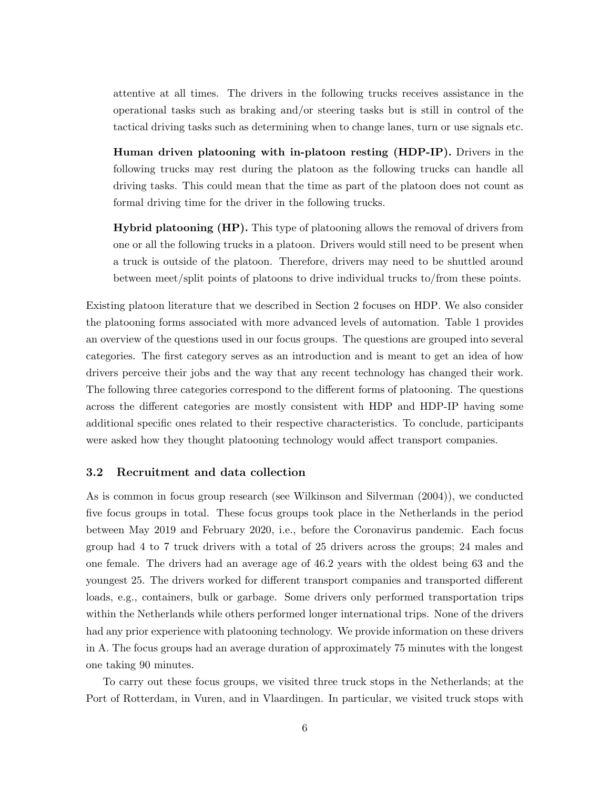attentive at all times. The drivers in the following trucks receives assistance in the operational tasks such as braking and/or steering tasks but is still in control of the tactical driving tasks such as determining when to change lanes, turn or use signals etc.

Human driven platooning with in-platoon resting (HDP-IP). Drivers in the following trucks may rest during the platoon as the following trucks can handle all driving tasks. This could mean that the time as part of the platoon does not count as formal driving time for the driver in the following trucks.

Hybrid platooning (HP). This type of platooning allows the removal of drivers from one or all the following trucks in a platoon. Drivers would still need to be present when a truck is outside of the platoon. Therefore, drivers may need to be shuttled around between meet/split points of platoons to drive individual trucks to/from these points.

Existing platoon literature that we described in Section [2](#page-3-0) focuses on HDP. We also consider the platooning forms associated with more advanced levels of automation. Table [1](#page-6-0) provides an overview of the questions used in our focus groups. The questions are grouped into several categories. The first category serves as an introduction and is meant to get an idea of how drivers perceive their jobs and the way that any recent technology has changed their work. The following three categories correspond to the different forms of platooning. The questions across the different categories are mostly consistent with HDP and HDP-IP having some additional specific ones related to their respective characteristics. To conclude, participants were asked how they thought platooning technology would affect transport companies.

### 3.2 Recruitment and data collection

As is common in focus group research (see [Wilkinson and Silverman](#page-27-9) [\(2004\)](#page-27-9)), we conducted five focus groups in total. These focus groups took place in the Netherlands in the period between May 2019 and February 2020, i.e., before the Coronavirus pandemic. Each focus group had 4 to 7 truck drivers with a total of 25 drivers across the groups; 24 males and one female. The drivers had an average age of 46.2 years with the oldest being 63 and the youngest 25. The drivers worked for different transport companies and transported different loads, e.g., containers, bulk or garbage. Some drivers only performed transportation trips within the Netherlands while others performed longer international trips. None of the drivers had any prior experience with platooning technology. We provide information on these drivers in [A.](#page-28-0) The focus groups had an average duration of approximately 75 minutes with the longest one taking 90 minutes.

To carry out these focus groups, we visited three truck stops in the Netherlands; at the Port of Rotterdam, in Vuren, and in Vlaardingen. In particular, we visited truck stops with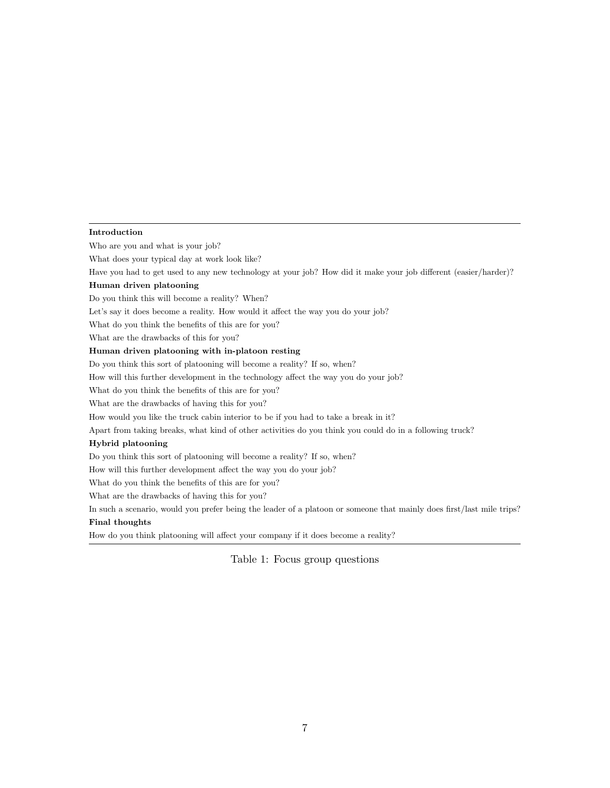#### Introduction

Who are you and what is your job?

What does your typical day at work look like?

Have you had to get used to any new technology at your job? How did it make your job different (easier/harder)?

#### Human driven platooning

Do you think this will become a reality? When?

Let's say it does become a reality. How would it affect the way you do your job?

What do you think the benefits of this are for you?

What are the drawbacks of this for you?

#### Human driven platooning with in-platoon resting

Do you think this sort of platooning will become a reality? If so, when?

How will this further development in the technology affect the way you do your job?

What do you think the benefits of this are for you?

What are the drawbacks of having this for you?

How would you like the truck cabin interior to be if you had to take a break in it?

Apart from taking breaks, what kind of other activities do you think you could do in a following truck?

#### Hybrid platooning

Do you think this sort of platooning will become a reality? If so, when?

How will this further development affect the way you do your job?

What do you think the benefits of this are for you?

What are the drawbacks of having this for you?

In such a scenario, would you prefer being the leader of a platoon or someone that mainly does first/last mile trips?

#### Final thoughts

How do you think platooning will affect your company if it does become a reality?

#### <span id="page-6-0"></span>Table 1: Focus group questions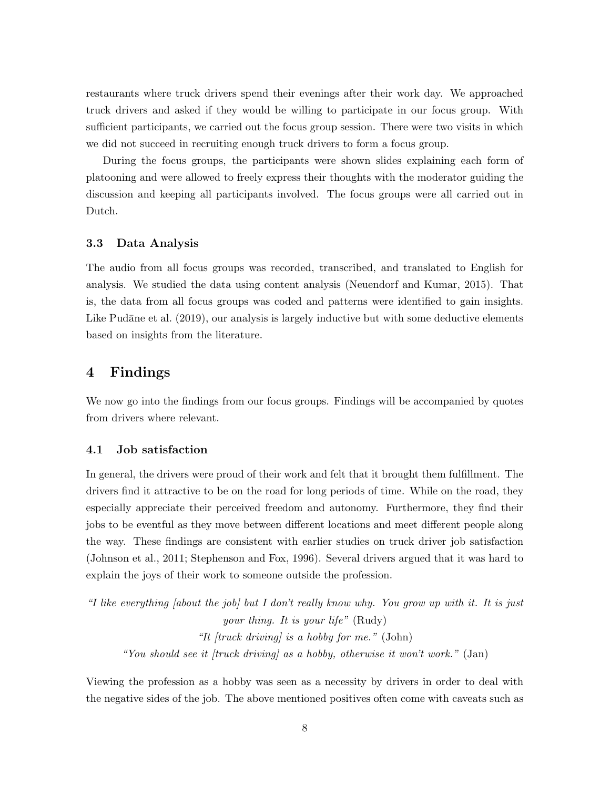restaurants where truck drivers spend their evenings after their work day. We approached truck drivers and asked if they would be willing to participate in our focus group. With sufficient participants, we carried out the focus group session. There were two visits in which we did not succeed in recruiting enough truck drivers to form a focus group.

During the focus groups, the participants were shown slides explaining each form of platooning and were allowed to freely express their thoughts with the moderator guiding the discussion and keeping all participants involved. The focus groups were all carried out in Dutch.

## 3.3 Data Analysis

The audio from all focus groups was recorded, transcribed, and translated to English for analysis. We studied the data using content analysis [\(Neuendorf and Kumar, 2015\)](#page-24-9). That is, the data from all focus groups was coded and patterns were identified to gain insights. Like Pudāne et al. [\(2019\)](#page-25-0), our analysis is largely inductive but with some deductive elements based on insights from the literature.

## <span id="page-7-0"></span>4 Findings

We now go into the findings from our focus groups. Findings will be accompanied by quotes from drivers where relevant.

## <span id="page-7-1"></span>4.1 Job satisfaction

In general, the drivers were proud of their work and felt that it brought them fulfillment. The drivers find it attractive to be on the road for long periods of time. While on the road, they especially appreciate their perceived freedom and autonomy. Furthermore, they find their jobs to be eventful as they move between different locations and meet different people along the way. These findings are consistent with earlier studies on truck driver job satisfaction [\(Johnson et al., 2011;](#page-22-7) [Stephenson and Fox, 1996\)](#page-26-12). Several drivers argued that it was hard to explain the joys of their work to someone outside the profession.

"I like everything (about the job) but I don't really know why. You grow up with it. It is just your thing. It is your life" (Rudy) "It [truck driving] is a hobby for me."  $(John)$ "You should see it [truck driving] as a hobby, otherwise it won't work." (Jan)

Viewing the profession as a hobby was seen as a necessity by drivers in order to deal with the negative sides of the job. The above mentioned positives often come with caveats such as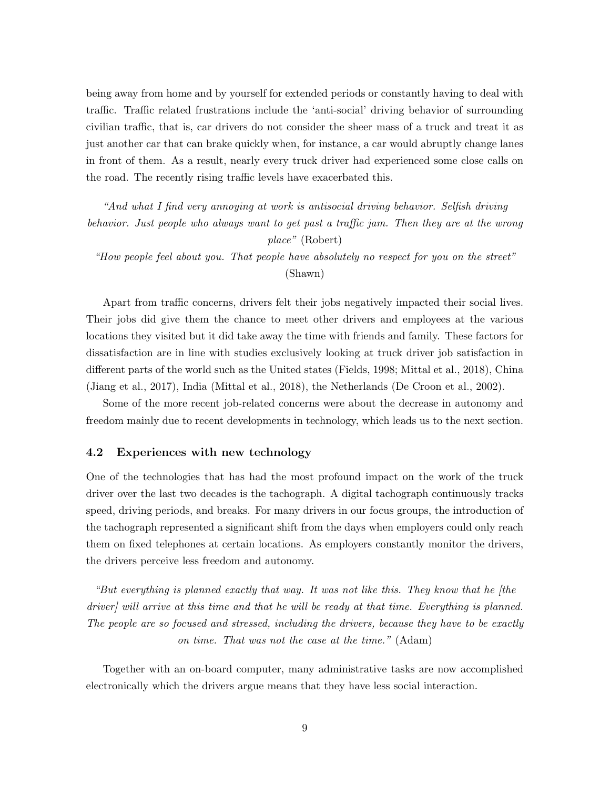being away from home and by yourself for extended periods or constantly having to deal with traffic. Traffic related frustrations include the 'anti-social' driving behavior of surrounding civilian traffic, that is, car drivers do not consider the sheer mass of a truck and treat it as just another car that can brake quickly when, for instance, a car would abruptly change lanes in front of them. As a result, nearly every truck driver had experienced some close calls on the road. The recently rising traffic levels have exacerbated this.

"And what I find very annoying at work is antisocial driving behavior. Selfish driving behavior. Just people who always want to get past a traffic jam. Then they are at the wrong place" (Robert)

"How people feel about you. That people have absolutely no respect for you on the street" (Shawn)

Apart from traffic concerns, drivers felt their jobs negatively impacted their social lives. Their jobs did give them the chance to meet other drivers and employees at the various locations they visited but it did take away the time with friends and family. These factors for dissatisfaction are in line with studies exclusively looking at truck driver job satisfaction in different parts of the world such as the United states [\(Fields, 1998;](#page-21-9) [Mittal et al., 2018\)](#page-24-10), China [\(Jiang et al., 2017\)](#page-22-8), India [\(Mittal et al., 2018\)](#page-24-10), the Netherlands [\(De Croon et al., 2002\)](#page-20-11).

Some of the more recent job-related concerns were about the decrease in autonomy and freedom mainly due to recent developments in technology, which leads us to the next section.

### <span id="page-8-0"></span>4.2 Experiences with new technology

One of the technologies that has had the most profound impact on the work of the truck driver over the last two decades is the tachograph. A digital tachograph continuously tracks speed, driving periods, and breaks. For many drivers in our focus groups, the introduction of the tachograph represented a significant shift from the days when employers could only reach them on fixed telephones at certain locations. As employers constantly monitor the drivers, the drivers perceive less freedom and autonomy.

"But everything is planned exactly that way. It was not like this. They know that he [the driver] will arrive at this time and that he will be ready at that time. Everything is planned. The people are so focused and stressed, including the drivers, because they have to be exactly on time. That was not the case at the time." (Adam)

Together with an on-board computer, many administrative tasks are now accomplished electronically which the drivers argue means that they have less social interaction.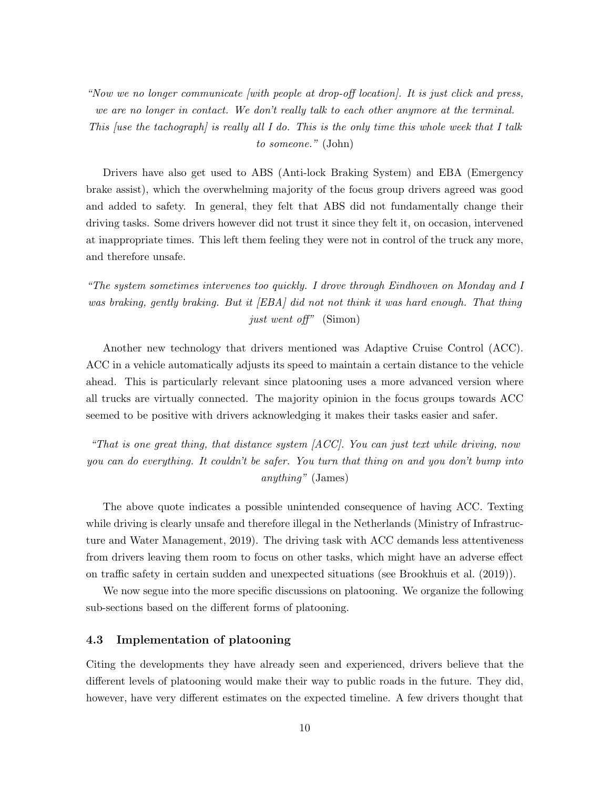"Now we no longer communicate [with people at drop-off location]. It is just click and press, we are no longer in contact. We don't really talk to each other anymore at the terminal. This [use the tachograph] is really all I do. This is the only time this whole week that I talk to someone." (John)

Drivers have also get used to ABS (Anti-lock Braking System) and EBA (Emergency brake assist), which the overwhelming majority of the focus group drivers agreed was good and added to safety. In general, they felt that ABS did not fundamentally change their driving tasks. Some drivers however did not trust it since they felt it, on occasion, intervened at inappropriate times. This left them feeling they were not in control of the truck any more, and therefore unsafe.

"The system sometimes intervenes too quickly. I drove through Eindhoven on Monday and I was braking, gently braking. But it [EBA] did not not think it was hard enough. That thing just went off" (Simon)

Another new technology that drivers mentioned was Adaptive Cruise Control (ACC). ACC in a vehicle automatically adjusts its speed to maintain a certain distance to the vehicle ahead. This is particularly relevant since platooning uses a more advanced version where all trucks are virtually connected. The majority opinion in the focus groups towards ACC seemed to be positive with drivers acknowledging it makes their tasks easier and safer.

"That is one great thing, that distance system  $|ACC|$ . You can just text while driving, now you can do everything. It couldn't be safer. You turn that thing on and you don't bump into anything" (James)

The above quote indicates a possible unintended consequence of having ACC. Texting while driving is clearly unsafe and therefore illegal in the Netherlands [\(Ministry of Infrastruc](#page-24-11)[ture and Water Management, 2019\)](#page-24-11). The driving task with ACC demands less attentiveness from drivers leaving them room to focus on other tasks, which might have an adverse effect on traffic safety in certain sudden and unexpected situations (see [Brookhuis et al.](#page-19-10) [\(2019\)](#page-19-10)).

We now segue into the more specific discussions on platooning. We organize the following sub-sections based on the different forms of platooning.

## 4.3 Implementation of platooning

Citing the developments they have already seen and experienced, drivers believe that the different levels of platooning would make their way to public roads in the future. They did, however, have very different estimates on the expected timeline. A few drivers thought that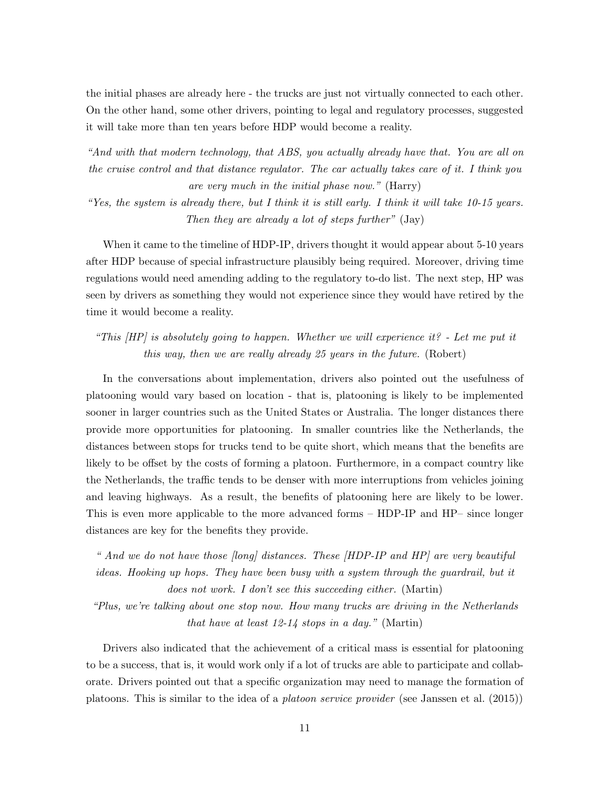the initial phases are already here - the trucks are just not virtually connected to each other. On the other hand, some other drivers, pointing to legal and regulatory processes, suggested it will take more than ten years before HDP would become a reality.

"And with that modern technology, that ABS, you actually already have that. You are all on the cruise control and that distance regulator. The car actually takes care of it. I think you are very much in the initial phase now." (Harry)

"Yes, the system is already there, but I think it is still early. I think it will take  $10\n-15$  years. Then they are already a lot of steps further" (Jay)

When it came to the timeline of HDP-IP, drivers thought it would appear about 5-10 years after HDP because of special infrastructure plausibly being required. Moreover, driving time regulations would need amending adding to the regulatory to-do list. The next step, HP was seen by drivers as something they would not experience since they would have retired by the time it would become a reality.

# "This  $[HP]$  is absolutely going to happen. Whether we will experience it? - Let me put it this way, then we are really already 25 years in the future. (Robert)

In the conversations about implementation, drivers also pointed out the usefulness of platooning would vary based on location - that is, platooning is likely to be implemented sooner in larger countries such as the United States or Australia. The longer distances there provide more opportunities for platooning. In smaller countries like the Netherlands, the distances between stops for trucks tend to be quite short, which means that the benefits are likely to be offset by the costs of forming a platoon. Furthermore, in a compact country like the Netherlands, the traffic tends to be denser with more interruptions from vehicles joining and leaving highways. As a result, the benefits of platooning here are likely to be lower. This is even more applicable to the more advanced forms – HDP-IP and HP– since longer distances are key for the benefits they provide.

" And we do not have those [long] distances. These [HDP-IP and HP] are very beautiful ideas. Hooking up hops. They have been busy with a system through the guardrail, but it does not work. I don't see this succeeding either. (Martin)

"Plus, we're talking about one stop now. How many trucks are driving in the Netherlands that have at least  $12-14$  stops in a day." (Martin)

Drivers also indicated that the achievement of a critical mass is essential for platooning to be a success, that is, it would work only if a lot of trucks are able to participate and collaborate. Drivers pointed out that a specific organization may need to manage the formation of platoons. This is similar to the idea of a platoon service provider (see [Janssen et al.](#page-22-9) [\(2015\)](#page-22-9))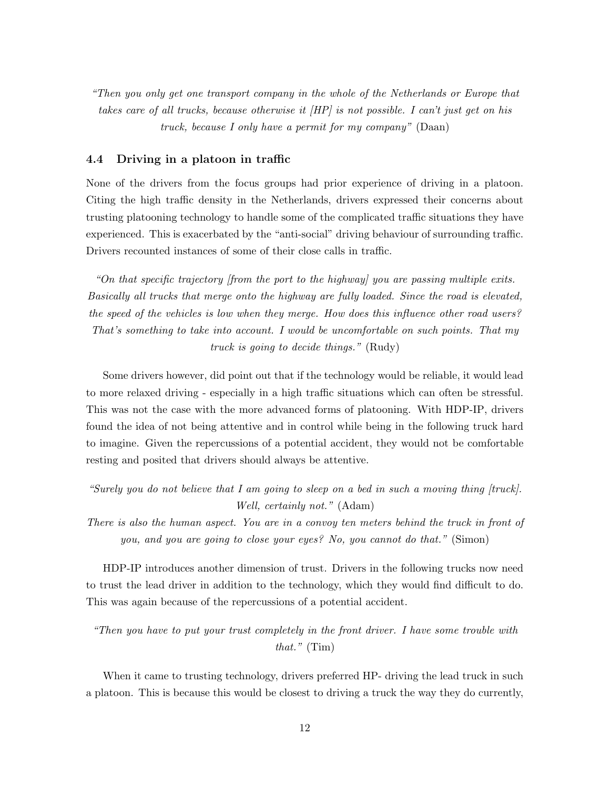"Then you only get one transport company in the whole of the Netherlands or Europe that takes care of all trucks, because otherwise it [HP] is not possible. I can't just get on his truck, because I only have a permit for my company" (Daan)

### 4.4 Driving in a platoon in traffic

None of the drivers from the focus groups had prior experience of driving in a platoon. Citing the high traffic density in the Netherlands, drivers expressed their concerns about trusting platooning technology to handle some of the complicated traffic situations they have experienced. This is exacerbated by the "anti-social" driving behaviour of surrounding traffic. Drivers recounted instances of some of their close calls in traffic.

"On that specific trajectory [from the port to the highway] you are passing multiple exits. Basically all trucks that merge onto the highway are fully loaded. Since the road is elevated, the speed of the vehicles is low when they merge. How does this influence other road users? That's something to take into account. I would be uncomfortable on such points. That my truck is going to decide things." (Rudy)

Some drivers however, did point out that if the technology would be reliable, it would lead to more relaxed driving - especially in a high traffic situations which can often be stressful. This was not the case with the more advanced forms of platooning. With HDP-IP, drivers found the idea of not being attentive and in control while being in the following truck hard to imagine. Given the repercussions of a potential accident, they would not be comfortable resting and posited that drivers should always be attentive.

"Surely you do not believe that I am going to sleep on a bed in such a moving thing [truck]. Well, certainly not." (Adam)

There is also the human aspect. You are in a convoy ten meters behind the truck in front of you, and you are going to close your eyes? No, you cannot do that." (Simon)

HDP-IP introduces another dimension of trust. Drivers in the following trucks now need to trust the lead driver in addition to the technology, which they would find difficult to do. This was again because of the repercussions of a potential accident.

"Then you have to put your trust completely in the front driver. I have some trouble with that." (Tim)

When it came to trusting technology, drivers preferred HP- driving the lead truck in such a platoon. This is because this would be closest to driving a truck the way they do currently,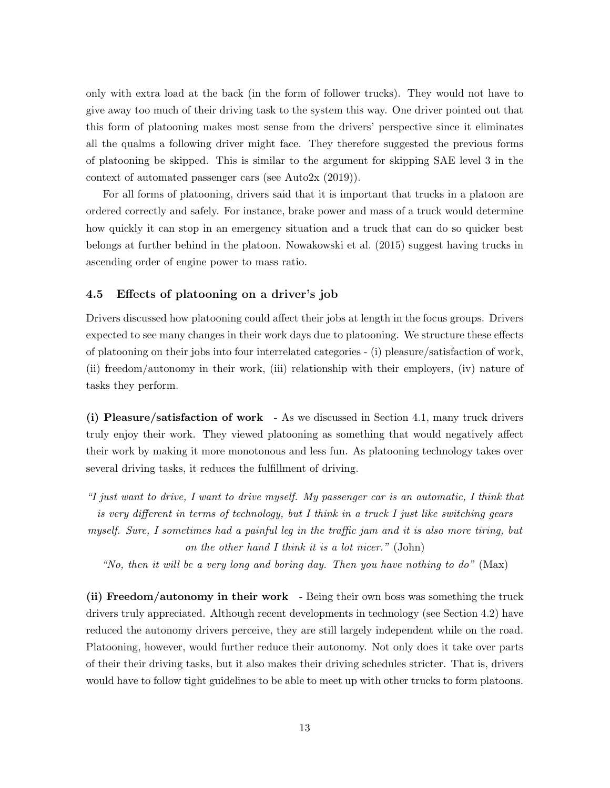only with extra load at the back (in the form of follower trucks). They would not have to give away too much of their driving task to the system this way. One driver pointed out that this form of platooning makes most sense from the drivers' perspective since it eliminates all the qualms a following driver might face. They therefore suggested the previous forms of platooning be skipped. This is similar to the argument for skipping SAE level 3 in the context of automated passenger cars (see [Auto2x](#page-18-6) [\(2019\)](#page-18-6)).

For all forms of platooning, drivers said that it is important that trucks in a platoon are ordered correctly and safely. For instance, brake power and mass of a truck would determine how quickly it can stop in an emergency situation and a truck that can do so quicker best belongs at further behind in the platoon. [Nowakowski et al.](#page-25-8) [\(2015\)](#page-25-8) suggest having trucks in ascending order of engine power to mass ratio.

### 4.5 Effects of platooning on a driver's job

Drivers discussed how platooning could affect their jobs at length in the focus groups. Drivers expected to see many changes in their work days due to platooning. We structure these effects of platooning on their jobs into four interrelated categories - (i) pleasure/satisfaction of work, (ii) freedom/autonomy in their work, (iii) relationship with their employers, (iv) nature of tasks they perform.

(i) Pleasure/satisfaction of work - As we discussed in Section [4.1,](#page-7-1) many truck drivers truly enjoy their work. They viewed platooning as something that would negatively affect their work by making it more monotonous and less fun. As platooning technology takes over several driving tasks, it reduces the fulfillment of driving.

"I just want to drive, I want to drive myself. My passenger car is an automatic, I think that is very different in terms of technology, but I think in a truck I just like switching gears myself. Sure, I sometimes had a painful leg in the traffic jam and it is also more tiring, but on the other hand I think it is a lot nicer." (John)

"No, then it will be a very long and boring day. Then you have nothing to do" ( $\text{Max}$ )

(ii) Freedom/autonomy in their work - Being their own boss was something the truck drivers truly appreciated. Although recent developments in technology (see Section [4.2\)](#page-8-0) have reduced the autonomy drivers perceive, they are still largely independent while on the road. Platooning, however, would further reduce their autonomy. Not only does it take over parts of their their driving tasks, but it also makes their driving schedules stricter. That is, drivers would have to follow tight guidelines to be able to meet up with other trucks to form platoons.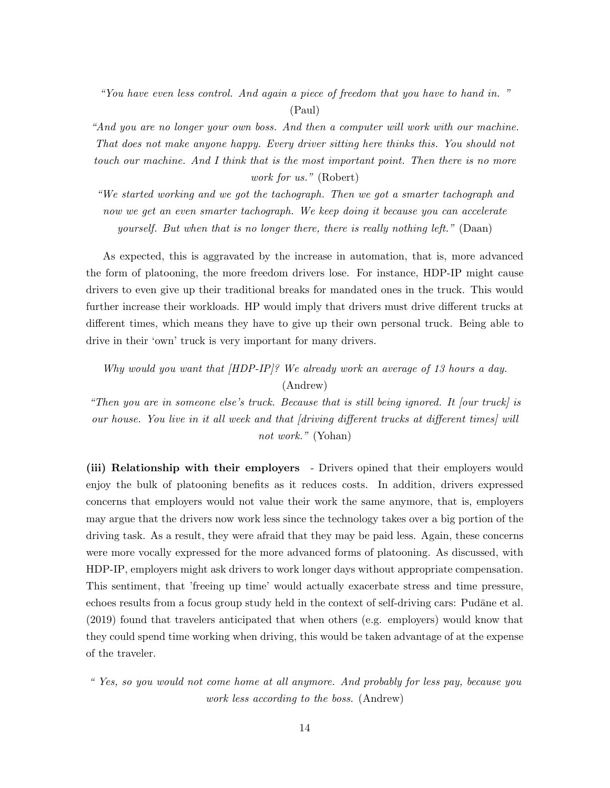"You have even less control. And again a piece of freedom that you have to hand in. " (Paul)

"And you are no longer your own boss. And then a computer will work with our machine. That does not make anyone happy. Every driver sitting here thinks this. You should not touch our machine. And I think that is the most important point. Then there is no more work for us." (Robert)

"We started working and we got the tachograph. Then we got a smarter tachograph and now we get an even smarter tachograph. We keep doing it because you can accelerate yourself. But when that is no longer there, there is really nothing left." (Daan)

As expected, this is aggravated by the increase in automation, that is, more advanced the form of platooning, the more freedom drivers lose. For instance, HDP-IP might cause drivers to even give up their traditional breaks for mandated ones in the truck. This would further increase their workloads. HP would imply that drivers must drive different trucks at different times, which means they have to give up their own personal truck. Being able to drive in their 'own' truck is very important for many drivers.

Why would you want that [HDP-IP]? We already work an average of 13 hours a day. (Andrew)

"Then you are in someone else's truck. Because that is still being ignored. It [our truck] is our house. You live in it all week and that [driving different trucks at different times] will not work." (Yohan)

(iii) Relationship with their employers - Drivers opined that their employers would enjoy the bulk of platooning benefits as it reduces costs. In addition, drivers expressed concerns that employers would not value their work the same anymore, that is, employers may argue that the drivers now work less since the technology takes over a big portion of the driving task. As a result, they were afraid that they may be paid less. Again, these concerns were more vocally expressed for the more advanced forms of platooning. As discussed, with HDP-IP, employers might ask drivers to work longer days without appropriate compensation. This sentiment, that 'freeing up time' would actually exacerbate stress and time pressure, echoes results from a focus group study held in the context of self-driving cars: Pudāne et al. [\(2019\)](#page-25-0) found that travelers anticipated that when others (e.g. employers) would know that they could spend time working when driving, this would be taken advantage of at the expense of the traveler.

" Yes, so you would not come home at all anymore. And probably for less pay, because you work less according to the boss. (Andrew)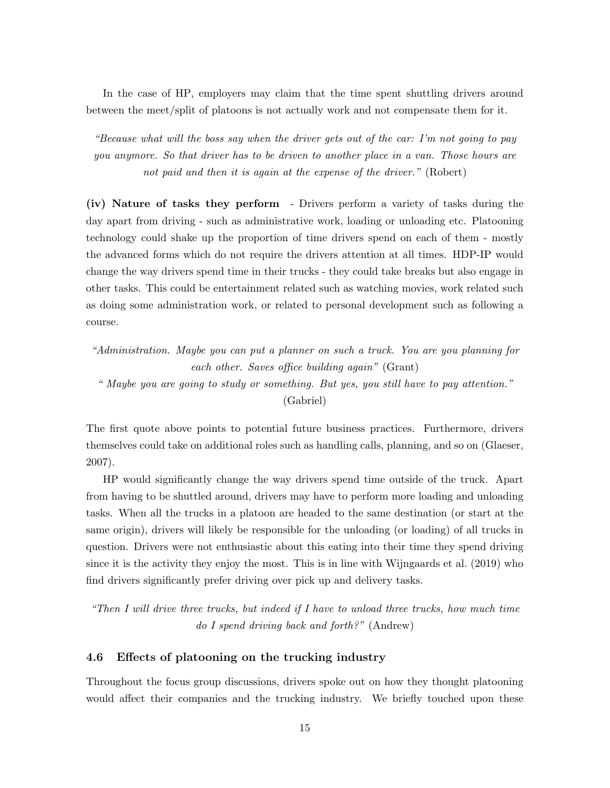In the case of HP, employers may claim that the time spent shuttling drivers around between the meet/split of platoons is not actually work and not compensate them for it.

"Because what will the boss say when the driver gets out of the car: I'm not going to pay you anymore. So that driver has to be driven to another place in a van. Those hours are not paid and then it is again at the expense of the driver." (Robert)

(iv) Nature of tasks they perform - Drivers perform a variety of tasks during the day apart from driving - such as administrative work, loading or unloading etc. Platooning technology could shake up the proportion of time drivers spend on each of them - mostly the advanced forms which do not require the drivers attention at all times. HDP-IP would change the way drivers spend time in their trucks - they could take breaks but also engage in other tasks. This could be entertainment related such as watching movies, work related such as doing some administration work, or related to personal development such as following a course.

"Administration. Maybe you can put a planner on such a truck. You are you planning for each other. Saves office building again" (Grant) " Maybe you are going to study or something. But yes, you still have to pay attention." (Gabriel)

The first quote above points to potential future business practices. Furthermore, drivers themselves could take on additional roles such as handling calls, planning, and so on [\(Glaeser,](#page-21-10) [2007\)](#page-21-10).

HP would significantly change the way drivers spend time outside of the truck. Apart from having to be shuttled around, drivers may have to perform more loading and unloading tasks. When all the trucks in a platoon are headed to the same destination (or start at the same origin), drivers will likely be responsible for the unloading (or loading) of all trucks in question. Drivers were not enthusiastic about this eating into their time they spend driving since it is the activity they enjoy the most. This is in line with [Wijngaards et al.](#page-27-10) [\(2019\)](#page-27-10) who find drivers significantly prefer driving over pick up and delivery tasks.

"Then I will drive three trucks, but indeed if I have to unload three trucks, how much time do I spend driving back and forth?" (Andrew)

## 4.6 Effects of platooning on the trucking industry

Throughout the focus group discussions, drivers spoke out on how they thought platooning would affect their companies and the trucking industry. We briefly touched upon these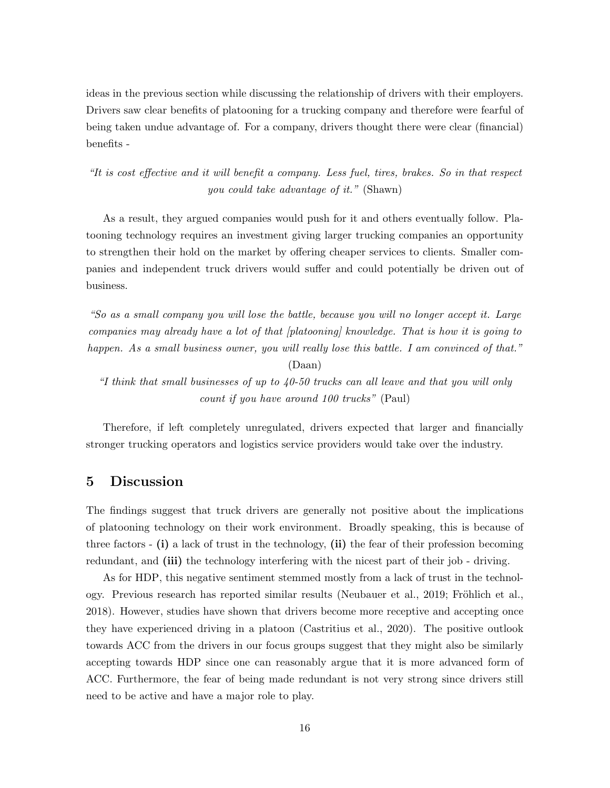ideas in the previous section while discussing the relationship of drivers with their employers. Drivers saw clear benefits of platooning for a trucking company and therefore were fearful of being taken undue advantage of. For a company, drivers thought there were clear (financial) benefits -

"It is cost effective and it will benefit a company. Less fuel, tires, brakes. So in that respect you could take advantage of it." (Shawn)

As a result, they argued companies would push for it and others eventually follow. Platooning technology requires an investment giving larger trucking companies an opportunity to strengthen their hold on the market by offering cheaper services to clients. Smaller companies and independent truck drivers would suffer and could potentially be driven out of business.

"So as a small company you will lose the battle, because you will no longer accept it. Large companies may already have a lot of that [platooning] knowledge. That is how it is going to happen. As a small business owner, you will really lose this battle. I am convinced of that."

(Daan)

"I think that small businesses of up to  $40-50$  trucks can all leave and that you will only count if you have around 100 trucks" (Paul)

Therefore, if left completely unregulated, drivers expected that larger and financially stronger trucking operators and logistics service providers would take over the industry.

# <span id="page-15-0"></span>5 Discussion

The findings suggest that truck drivers are generally not positive about the implications of platooning technology on their work environment. Broadly speaking, this is because of three factors  $\overline{\cdot}$  (i) a lack of trust in the technology, (ii) the fear of their profession becoming redundant, and (iii) the technology interfering with the nicest part of their job - driving.

As for HDP, this negative sentiment stemmed mostly from a lack of trust in the technol-ogy. Previous research has reported similar results [\(Neubauer et al., 2019;](#page-24-6) Fröhlich et al., [2018\)](#page-21-3). However, studies have shown that drivers become more receptive and accepting once they have experienced driving in a platoon [\(Castritius et al., 2020\)](#page-19-5). The positive outlook towards ACC from the drivers in our focus groups suggest that they might also be similarly accepting towards HDP since one can reasonably argue that it is more advanced form of ACC. Furthermore, the fear of being made redundant is not very strong since drivers still need to be active and have a major role to play.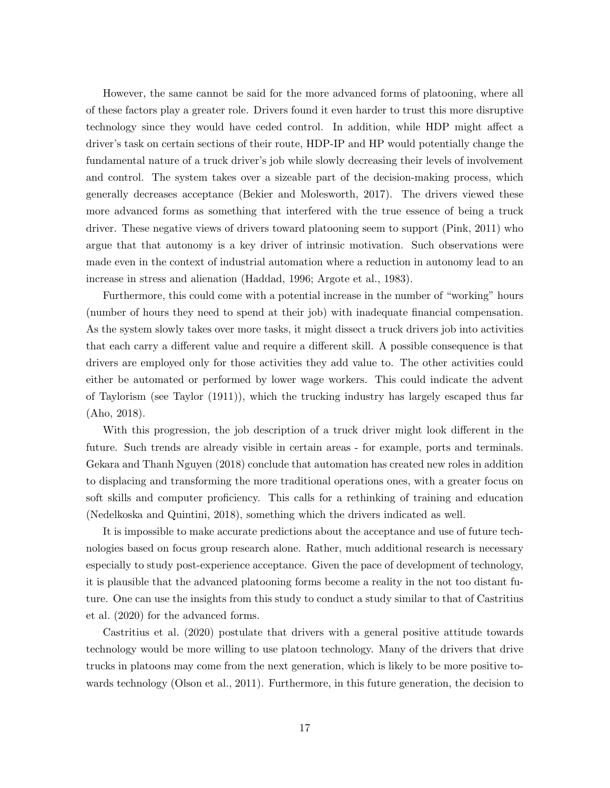However, the same cannot be said for the more advanced forms of platooning, where all of these factors play a greater role. Drivers found it even harder to trust this more disruptive technology since they would have ceded control. In addition, while HDP might affect a driver's task on certain sections of their route, HDP-IP and HP would potentially change the fundamental nature of a truck driver's job while slowly decreasing their levels of involvement and control. The system takes over a sizeable part of the decision-making process, which generally decreases acceptance [\(Bekier and Molesworth, 2017\)](#page-19-11). The drivers viewed these more advanced forms as something that interfered with the true essence of being a truck driver. These negative views of drivers toward platooning seem to support [\(Pink, 2011\)](#page-25-9) who argue that that autonomy is a key driver of intrinsic motivation. Such observations were made even in the context of industrial automation where a reduction in autonomy lead to an increase in stress and alienation [\(Haddad, 1996;](#page-21-7) [Argote et al., 1983\)](#page-18-4).

Furthermore, this could come with a potential increase in the number of "working" hours (number of hours they need to spend at their job) with inadequate financial compensation. As the system slowly takes over more tasks, it might dissect a truck drivers job into activities that each carry a different value and require a different skill. A possible consequence is that drivers are employed only for those activities they add value to. The other activities could either be automated or performed by lower wage workers. This could indicate the advent of Taylorism (see [Taylor](#page-26-13) [\(1911\)](#page-26-13)), which the trucking industry has largely escaped thus far [\(Aho, 2018\)](#page-18-7).

With this progression, the job description of a truck driver might look different in the future. Such trends are already visible in certain areas - for example, ports and terminals. [Gekara and Thanh Nguyen](#page-21-11) [\(2018\)](#page-21-11) conclude that automation has created new roles in addition to displacing and transforming the more traditional operations ones, with a greater focus on soft skills and computer proficiency. This calls for a rethinking of training and education [\(Nedelkoska and Quintini, 2018\)](#page-24-12), something which the drivers indicated as well.

It is impossible to make accurate predictions about the acceptance and use of future technologies based on focus group research alone. Rather, much additional research is necessary especially to study post-experience acceptance. Given the pace of development of technology, it is plausible that the advanced platooning forms become a reality in the not too distant future. One can use the insights from this study to conduct a study similar to that of [Castritius](#page-19-5) [et al.](#page-19-5) [\(2020\)](#page-19-5) for the advanced forms.

[Castritius et al.](#page-19-5) [\(2020\)](#page-19-5) postulate that drivers with a general positive attitude towards technology would be more willing to use platoon technology. Many of the drivers that drive trucks in platoons may come from the next generation, which is likely to be more positive towards technology [\(Olson et al., 2011\)](#page-25-10). Furthermore, in this future generation, the decision to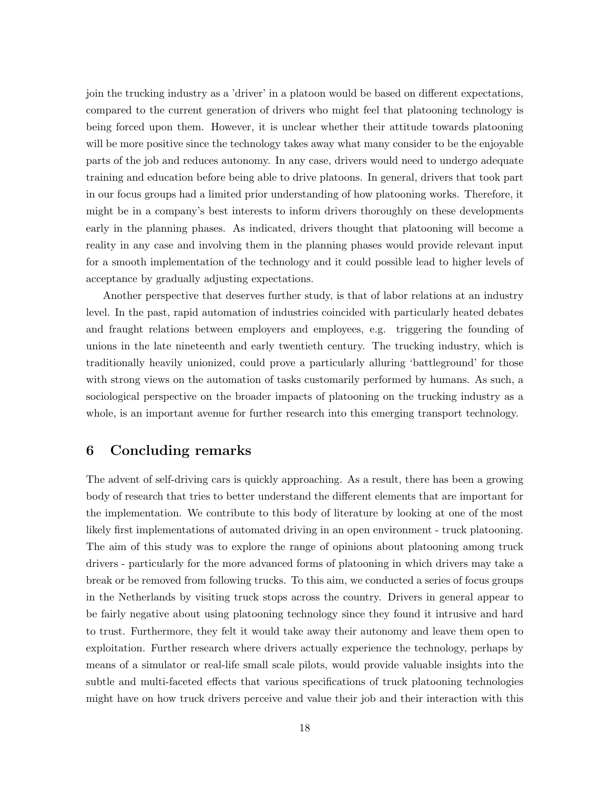join the trucking industry as a 'driver' in a platoon would be based on different expectations, compared to the current generation of drivers who might feel that platooning technology is being forced upon them. However, it is unclear whether their attitude towards platooning will be more positive since the technology takes away what many consider to be the enjoyable parts of the job and reduces autonomy. In any case, drivers would need to undergo adequate training and education before being able to drive platoons. In general, drivers that took part in our focus groups had a limited prior understanding of how platooning works. Therefore, it might be in a company's best interests to inform drivers thoroughly on these developments early in the planning phases. As indicated, drivers thought that platooning will become a reality in any case and involving them in the planning phases would provide relevant input for a smooth implementation of the technology and it could possible lead to higher levels of acceptance by gradually adjusting expectations.

Another perspective that deserves further study, is that of labor relations at an industry level. In the past, rapid automation of industries coincided with particularly heated debates and fraught relations between employers and employees, e.g. triggering the founding of unions in the late nineteenth and early twentieth century. The trucking industry, which is traditionally heavily unionized, could prove a particularly alluring 'battleground' for those with strong views on the automation of tasks customarily performed by humans. As such, a sociological perspective on the broader impacts of platooning on the trucking industry as a whole, is an important avenue for further research into this emerging transport technology.

# <span id="page-17-0"></span>6 Concluding remarks

The advent of self-driving cars is quickly approaching. As a result, there has been a growing body of research that tries to better understand the different elements that are important for the implementation. We contribute to this body of literature by looking at one of the most likely first implementations of automated driving in an open environment - truck platooning. The aim of this study was to explore the range of opinions about platooning among truck drivers - particularly for the more advanced forms of platooning in which drivers may take a break or be removed from following trucks. To this aim, we conducted a series of focus groups in the Netherlands by visiting truck stops across the country. Drivers in general appear to be fairly negative about using platooning technology since they found it intrusive and hard to trust. Furthermore, they felt it would take away their autonomy and leave them open to exploitation. Further research where drivers actually experience the technology, perhaps by means of a simulator or real-life small scale pilots, would provide valuable insights into the subtle and multi-faceted effects that various specifications of truck platooning technologies might have on how truck drivers perceive and value their job and their interaction with this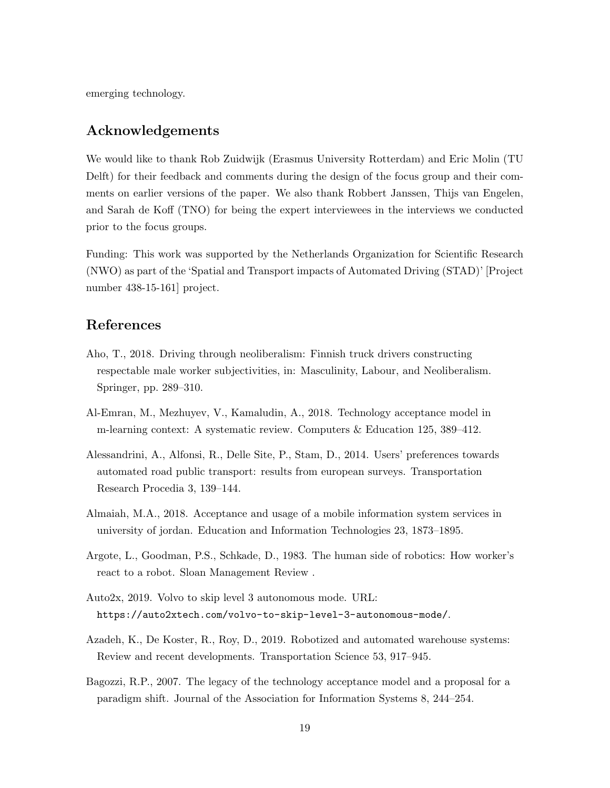emerging technology.

# Acknowledgements

We would like to thank Rob Zuidwijk (Erasmus University Rotterdam) and Eric Molin (TU Delft) for their feedback and comments during the design of the focus group and their comments on earlier versions of the paper. We also thank Robbert Janssen, Thijs van Engelen, and Sarah de Koff (TNO) for being the expert interviewees in the interviews we conducted prior to the focus groups.

Funding: This work was supported by the Netherlands Organization for Scientific Research (NWO) as part of the 'Spatial and Transport impacts of Automated Driving (STAD)' [Project number 438-15-161] project.

# References

- <span id="page-18-7"></span>Aho, T., 2018. Driving through neoliberalism: Finnish truck drivers constructing respectable male worker subjectivities, in: Masculinity, Labour, and Neoliberalism. Springer, pp. 289–310.
- <span id="page-18-2"></span>Al-Emran, M., Mezhuyev, V., Kamaludin, A., 2018. Technology acceptance model in m-learning context: A systematic review. Computers & Education 125, 389–412.
- <span id="page-18-5"></span>Alessandrini, A., Alfonsi, R., Delle Site, P., Stam, D., 2014. Users' preferences towards automated road public transport: results from european surveys. Transportation Research Procedia 3, 139–144.
- <span id="page-18-3"></span>Almaiah, M.A., 2018. Acceptance and usage of a mobile information system services in university of jordan. Education and Information Technologies 23, 1873–1895.
- <span id="page-18-4"></span>Argote, L., Goodman, P.S., Schkade, D., 1983. The human side of robotics: How worker's react to a robot. Sloan Management Review .
- <span id="page-18-6"></span>Auto2x, 2019. Volvo to skip level 3 autonomous mode. URL: <https://auto2xtech.com/volvo-to-skip-level-3-autonomous-mode/>.
- <span id="page-18-0"></span>Azadeh, K., De Koster, R., Roy, D., 2019. Robotized and automated warehouse systems: Review and recent developments. Transportation Science 53, 917–945.
- <span id="page-18-1"></span>Bagozzi, R.P., 2007. The legacy of the technology acceptance model and a proposal for a paradigm shift. Journal of the Association for Information Systems 8, 244–254.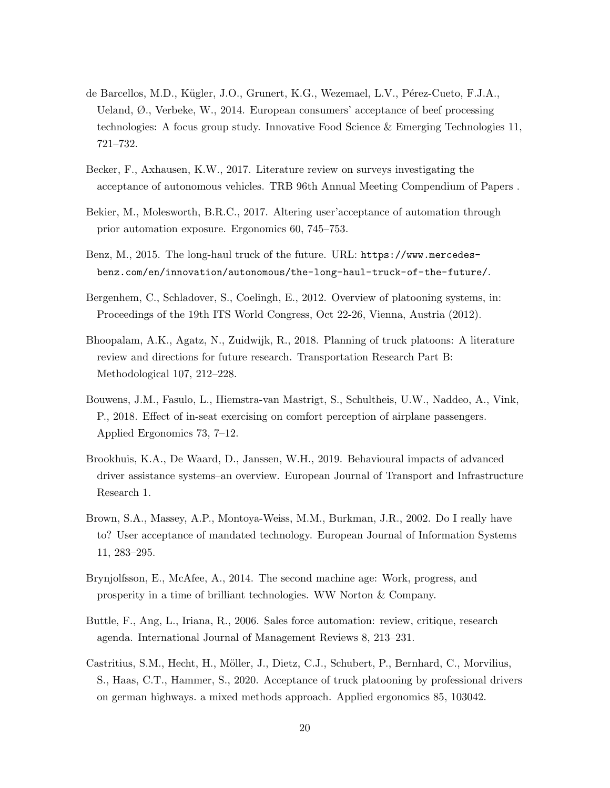- <span id="page-19-9"></span>de Barcellos, M.D., Kügler, J.O., Grunert, K.G., Wezemael, L.V., Pérez-Cueto, F.J.A., Ueland, Ø., Verbeke, W., 2014. European consumers' acceptance of beef processing technologies: A focus group study. Innovative Food Science & Emerging Technologies 11, 721–732.
- <span id="page-19-8"></span>Becker, F., Axhausen, K.W., 2017. Literature review on surveys investigating the acceptance of autonomous vehicles. TRB 96th Annual Meeting Compendium of Papers .
- <span id="page-19-11"></span>Bekier, M., Molesworth, B.R.C., 2017. Altering user'acceptance of automation through prior automation exposure. Ergonomics 60, 745–753.
- <span id="page-19-1"></span>Benz, M., 2015. The long-haul truck of the future. URL: [https://www.mercedes](https://www.mercedes-benz.com/en/innovation/autonomous/the-long-haul-truck-of-the-future/)[benz.com/en/innovation/autonomous/the-long-haul-truck-of-the-future/](https://www.mercedes-benz.com/en/innovation/autonomous/the-long-haul-truck-of-the-future/).
- <span id="page-19-3"></span>Bergenhem, C., Schladover, S., Coelingh, E., 2012. Overview of platooning systems, in: Proceedings of the 19th ITS World Congress, Oct 22-26, Vienna, Austria (2012).
- <span id="page-19-4"></span>Bhoopalam, A.K., Agatz, N., Zuidwijk, R., 2018. Planning of truck platoons: A literature review and directions for future research. Transportation Research Part B: Methodological 107, 212–228.
- <span id="page-19-7"></span>Bouwens, J.M., Fasulo, L., Hiemstra-van Mastrigt, S., Schultheis, U.W., Naddeo, A., Vink, P., 2018. Effect of in-seat exercising on comfort perception of airplane passengers. Applied Ergonomics 73, 7–12.
- <span id="page-19-10"></span>Brookhuis, K.A., De Waard, D., Janssen, W.H., 2019. Behavioural impacts of advanced driver assistance systems–an overview. European Journal of Transport and Infrastructure Research 1.
- <span id="page-19-2"></span>Brown, S.A., Massey, A.P., Montoya-Weiss, M.M., Burkman, J.R., 2002. Do I really have to? User acceptance of mandated technology. European Journal of Information Systems 11, 283–295.
- <span id="page-19-0"></span>Brynjolfsson, E., McAfee, A., 2014. The second machine age: Work, progress, and prosperity in a time of brilliant technologies. WW Norton & Company.
- <span id="page-19-6"></span>Buttle, F., Ang, L., Iriana, R., 2006. Sales force automation: review, critique, research agenda. International Journal of Management Reviews 8, 213–231.
- <span id="page-19-5"></span>Castritius, S.M., Hecht, H., Möller, J., Dietz, C.J., Schubert, P., Bernhard, C., Morvilius, S., Haas, C.T., Hammer, S., 2020. Acceptance of truck platooning by professional drivers on german highways. a mixed methods approach. Applied ergonomics 85, 103042.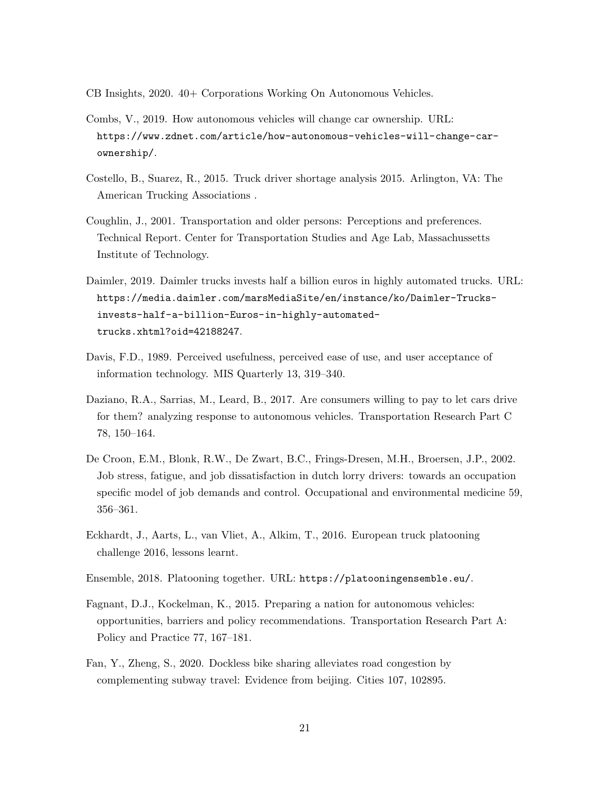<span id="page-20-0"></span>CB Insights, 2020. 40+ Corporations Working On Autonomous Vehicles.

- <span id="page-20-1"></span>Combs, V., 2019. How autonomous vehicles will change car ownership. URL: [https://www.zdnet.com/article/how-autonomous-vehicles-will-change-car](https://www.zdnet.com/article/how-autonomous-vehicles-will-change-car-ownership/)[ownership/](https://www.zdnet.com/article/how-autonomous-vehicles-will-change-car-ownership/).
- <span id="page-20-4"></span>Costello, B., Suarez, R., 2015. Truck driver shortage analysis 2015. Arlington, VA: The American Trucking Associations .
- <span id="page-20-9"></span>Coughlin, J., 2001. Transportation and older persons: Perceptions and preferences. Technical Report. Center for Transportation Studies and Age Lab, Massachussetts Institute of Technology.
- <span id="page-20-5"></span>Daimler, 2019. Daimler trucks invests half a billion euros in highly automated trucks. URL: [https://media.daimler.com/marsMediaSite/en/instance/ko/Daimler-Trucks](https://media.daimler.com/marsMediaSite/en/instance/ko/Daimler-Trucks-invests-half-a-billion-Euros-in-highly-automated-trucks.xhtml?oid=42188247)[invests-half-a-billion-Euros-in-highly-automated](https://media.daimler.com/marsMediaSite/en/instance/ko/Daimler-Trucks-invests-half-a-billion-Euros-in-highly-automated-trucks.xhtml?oid=42188247)[trucks.xhtml?oid=42188247](https://media.daimler.com/marsMediaSite/en/instance/ko/Daimler-Trucks-invests-half-a-billion-Euros-in-highly-automated-trucks.xhtml?oid=42188247).
- <span id="page-20-6"></span>Davis, F.D., 1989. Perceived usefulness, perceived ease of use, and user acceptance of information technology. MIS Quarterly 13, 319–340.
- <span id="page-20-8"></span>Daziano, R.A., Sarrias, M., Leard, B., 2017. Are consumers willing to pay to let cars drive for them? analyzing response to autonomous vehicles. Transportation Research Part C 78, 150–164.
- <span id="page-20-11"></span>De Croon, E.M., Blonk, R.W., De Zwart, B.C., Frings-Dresen, M.H., Broersen, J.P., 2002. Job stress, fatigue, and job dissatisfaction in dutch lorry drivers: towards an occupation specific model of job demands and control. Occupational and environmental medicine 59, 356–361.
- <span id="page-20-3"></span>Eckhardt, J., Aarts, L., van Vliet, A., Alkim, T., 2016. European truck platooning challenge 2016, lessons learnt.
- <span id="page-20-10"></span>Ensemble, 2018. Platooning together. URL: <https://platooningensemble.eu/>.
- <span id="page-20-2"></span>Fagnant, D.J., Kockelman, K., 2015. Preparing a nation for autonomous vehicles: opportunities, barriers and policy recommendations. Transportation Research Part A: Policy and Practice 77, 167–181.
- <span id="page-20-7"></span>Fan, Y., Zheng, S., 2020. Dockless bike sharing alleviates road congestion by complementing subway travel: Evidence from beijing. Cities 107, 102895.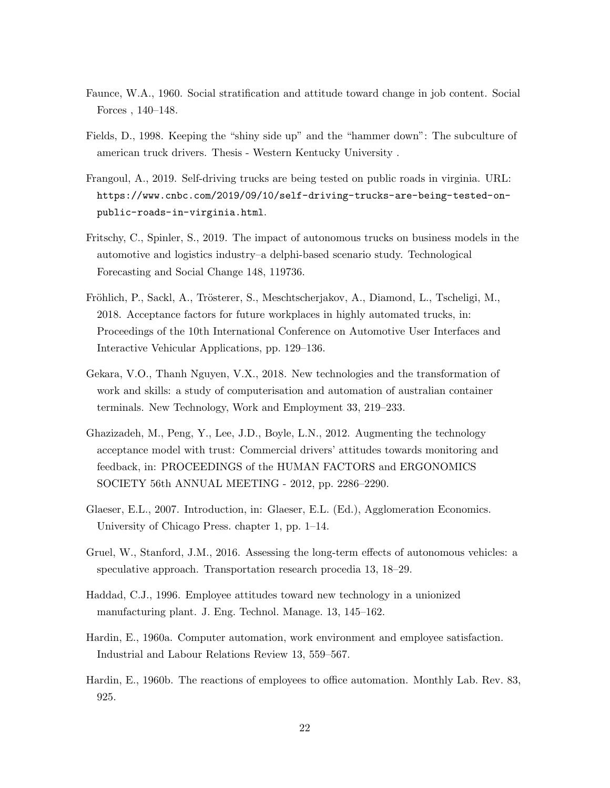- <span id="page-21-6"></span>Faunce, W.A., 1960. Social stratification and attitude toward change in job content. Social Forces , 140–148.
- <span id="page-21-9"></span>Fields, D., 1998. Keeping the "shiny side up" and the "hammer down": The subculture of american truck drivers. Thesis - Western Kentucky University .
- <span id="page-21-2"></span>Frangoul, A., 2019. Self-driving trucks are being tested on public roads in virginia. URL: [https://www.cnbc.com/2019/09/10/self-driving-trucks-are-being-tested-on](https://www.cnbc.com/2019/09/10/self-driving-trucks-are-being-tested-on-public-roads-in-virginia.html)[public-roads-in-virginia.html](https://www.cnbc.com/2019/09/10/self-driving-trucks-are-being-tested-on-public-roads-in-virginia.html).
- <span id="page-21-1"></span>Fritschy, C., Spinler, S., 2019. The impact of autonomous trucks on business models in the automotive and logistics industry–a delphi-based scenario study. Technological Forecasting and Social Change 148, 119736.
- <span id="page-21-3"></span>Fröhlich, P., Sackl, A., Trösterer, S., Meschtscherjakov, A., Diamond, L., Tscheligi, M., 2018. Acceptance factors for future workplaces in highly automated trucks, in: Proceedings of the 10th International Conference on Automotive User Interfaces and Interactive Vehicular Applications, pp. 129–136.
- <span id="page-21-11"></span>Gekara, V.O., Thanh Nguyen, V.X., 2018. New technologies and the transformation of work and skills: a study of computerisation and automation of australian container terminals. New Technology, Work and Employment 33, 219–233.
- <span id="page-21-8"></span>Ghazizadeh, M., Peng, Y., Lee, J.D., Boyle, L.N., 2012. Augmenting the technology acceptance model with trust: Commercial drivers' attitudes towards monitoring and feedback, in: PROCEEDINGS of the HUMAN FACTORS and ERGONOMICS SOCIETY 56th ANNUAL MEETING - 2012, pp. 2286–2290.
- <span id="page-21-10"></span>Glaeser, E.L., 2007. Introduction, in: Glaeser, E.L. (Ed.), Agglomeration Economics. University of Chicago Press. chapter 1, pp. 1–14.
- <span id="page-21-0"></span>Gruel, W., Stanford, J.M., 2016. Assessing the long-term effects of autonomous vehicles: a speculative approach. Transportation research procedia 13, 18–29.
- <span id="page-21-7"></span>Haddad, C.J., 1996. Employee attitudes toward new technology in a unionized manufacturing plant. J. Eng. Technol. Manage. 13, 145–162.
- <span id="page-21-4"></span>Hardin, E., 1960a. Computer automation, work environment and employee satisfaction. Industrial and Labour Relations Review 13, 559–567.
- <span id="page-21-5"></span>Hardin, E., 1960b. The reactions of employees to office automation. Monthly Lab. Rev. 83, 925.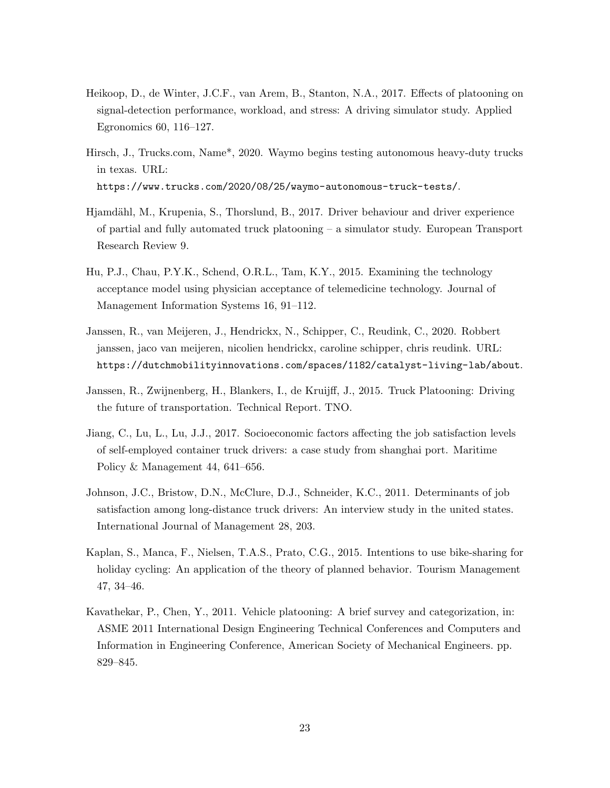- <span id="page-22-2"></span>Heikoop, D., de Winter, J.C.F., van Arem, B., Stanton, N.A., 2017. Effects of platooning on signal-detection performance, workload, and stress: A driving simulator study. Applied Egronomics 60, 116–127.
- <span id="page-22-0"></span>Hirsch, J., Trucks.com, Name\*, 2020. Waymo begins testing autonomous heavy-duty trucks in texas. URL: <https://www.trucks.com/2020/08/25/waymo-autonomous-truck-tests/>.
- <span id="page-22-3"></span>Hjamdähl, M., Krupenia, S., Thorslund, B., 2017. Driver behaviour and driver experience of partial and fully automated truck platooning – a simulator study. European Transport Research Review 9.
- <span id="page-22-4"></span>Hu, P.J., Chau, P.Y.K., Schend, O.R.L., Tam, K.Y., 2015. Examining the technology acceptance model using physician acceptance of telemedicine technology. Journal of Management Information Systems 16, 91–112.
- <span id="page-22-6"></span>Janssen, R., van Meijeren, J., Hendrickx, N., Schipper, C., Reudink, C., 2020. Robbert janssen, jaco van meijeren, nicolien hendrickx, caroline schipper, chris reudink. URL: <https://dutchmobilityinnovations.com/spaces/1182/catalyst-living-lab/about>.
- <span id="page-22-9"></span>Janssen, R., Zwijnenberg, H., Blankers, I., de Kruijff, J., 2015. Truck Platooning: Driving the future of transportation. Technical Report. TNO.
- <span id="page-22-8"></span>Jiang, C., Lu, L., Lu, J.J., 2017. Socioeconomic factors affecting the job satisfaction levels of self-employed container truck drivers: a case study from shanghai port. Maritime Policy & Management 44, 641–656.
- <span id="page-22-7"></span>Johnson, J.C., Bristow, D.N., McClure, D.J., Schneider, K.C., 2011. Determinants of job satisfaction among long-distance truck drivers: An interview study in the united states. International Journal of Management 28, 203.
- <span id="page-22-5"></span>Kaplan, S., Manca, F., Nielsen, T.A.S., Prato, C.G., 2015. Intentions to use bike-sharing for holiday cycling: An application of the theory of planned behavior. Tourism Management 47, 34–46.
- <span id="page-22-1"></span>Kavathekar, P., Chen, Y., 2011. Vehicle platooning: A brief survey and categorization, in: ASME 2011 International Design Engineering Technical Conferences and Computers and Information in Engineering Conference, American Society of Mechanical Engineers. pp. 829–845.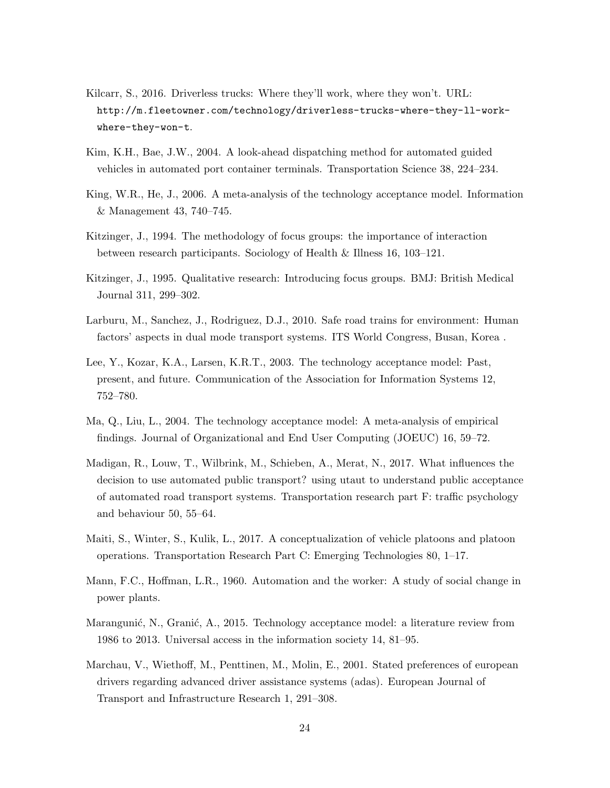- <span id="page-23-1"></span>Kilcarr, S., 2016. Driverless trucks: Where they'll work, where they won't. URL: [http://m.fleetowner.com/technology/driverless-trucks-where-they-ll-work](http://m.fleetowner.com/technology/driverless-trucks-where-they-ll-work-where-they-won-t)[where-they-won-t](http://m.fleetowner.com/technology/driverless-trucks-where-they-ll-work-where-they-won-t).
- <span id="page-23-0"></span>Kim, K.H., Bae, J.W., 2004. A look-ahead dispatching method for automated guided vehicles in automated port container terminals. Transportation Science 38, 224–234.
- <span id="page-23-5"></span>King, W.R., He, J., 2006. A meta-analysis of the technology acceptance model. Information & Management 43, 740–745.
- <span id="page-23-11"></span>Kitzinger, J., 1994. The methodology of focus groups: the importance of interaction between research participants. Sociology of Health & Illness 16, 103–121.
- <span id="page-23-12"></span>Kitzinger, J., 1995. Qualitative research: Introducing focus groups. BMJ: British Medical Journal 311, 299–302.
- <span id="page-23-3"></span>Larburu, M., Sanchez, J., Rodriguez, D.J., 2010. Safe road trains for environment: Human factors' aspects in dual mode transport systems. ITS World Congress, Busan, Korea .
- <span id="page-23-7"></span>Lee, Y., Kozar, K.A., Larsen, K.R.T., 2003. The technology acceptance model: Past, present, and future. Communication of the Association for Information Systems 12, 752–780.
- <span id="page-23-6"></span>Ma, Q., Liu, L., 2004. The technology acceptance model: A meta-analysis of empirical findings. Journal of Organizational and End User Computing (JOEUC) 16, 59–72.
- <span id="page-23-9"></span>Madigan, R., Louw, T., Wilbrink, M., Schieben, A., Merat, N., 2017. What influences the decision to use automated public transport? using utaut to understand public acceptance of automated road transport systems. Transportation research part F: traffic psychology and behaviour 50, 55–64.
- <span id="page-23-2"></span>Maiti, S., Winter, S., Kulik, L., 2017. A conceptualization of vehicle platoons and platoon operations. Transportation Research Part C: Emerging Technologies 80, 1–17.
- <span id="page-23-8"></span>Mann, F.C., Hoffman, L.R., 1960. Automation and the worker: A study of social change in power plants.
- <span id="page-23-4"></span>Marangunić, N., Granić, A., 2015. Technology acceptance model: a literature review from 1986 to 2013. Universal access in the information society 14, 81–95.
- <span id="page-23-10"></span>Marchau, V., Wiethoff, M., Penttinen, M., Molin, E., 2001. Stated preferences of european drivers regarding advanced driver assistance systems (adas). European Journal of Transport and Infrastructure Research 1, 291–308.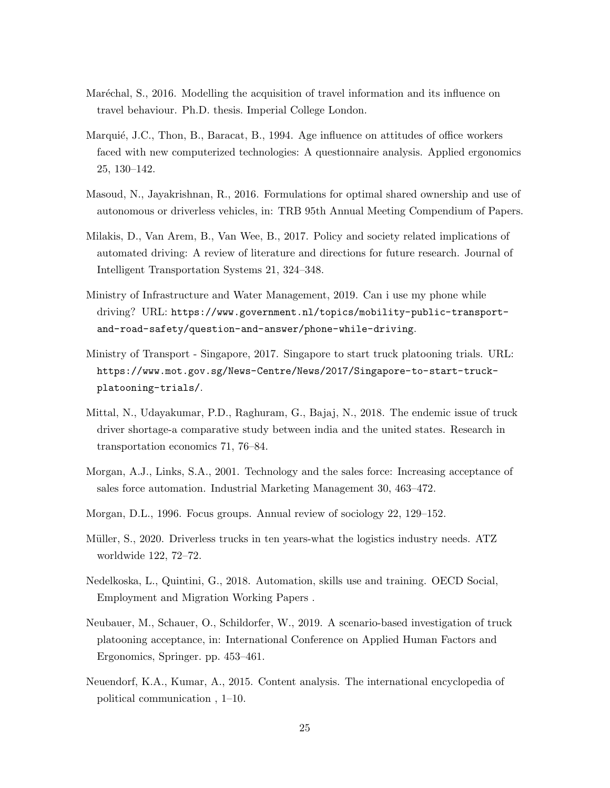- <span id="page-24-8"></span>Maréchal, S., 2016. Modelling the acquisition of travel information and its influence on travel behaviour. Ph.D. thesis. Imperial College London.
- <span id="page-24-4"></span>Marquié, J.C., Thon, B., Baracat, B., 1994. Age influence on attitudes of office workers faced with new computerized technologies: A questionnaire analysis. Applied ergonomics 25, 130–142.
- <span id="page-24-0"></span>Masoud, N., Jayakrishnan, R., 2016. Formulations for optimal shared ownership and use of autonomous or driverless vehicles, in: TRB 95th Annual Meeting Compendium of Papers.
- <span id="page-24-1"></span>Milakis, D., Van Arem, B., Van Wee, B., 2017. Policy and society related implications of automated driving: A review of literature and directions for future research. Journal of Intelligent Transportation Systems 21, 324–348.
- <span id="page-24-11"></span>Ministry of Infrastructure and Water Management, 2019. Can i use my phone while driving? URL: [https://www.government.nl/topics/mobility-public-transport](https://www.government.nl/topics/mobility-public-transport-and-road-safety/question-and-answer/phone-while-driving)[and-road-safety/question-and-answer/phone-while-driving](https://www.government.nl/topics/mobility-public-transport-and-road-safety/question-and-answer/phone-while-driving).
- <span id="page-24-2"></span>Ministry of Transport - Singapore, 2017. Singapore to start truck platooning trials. URL: [https://www.mot.gov.sg/News-Centre/News/2017/Singapore-to-start-truck](https://www.mot.gov.sg/News-Centre/News/2017/Singapore-to-start-truck-platooning-trials/)[platooning-trials/](https://www.mot.gov.sg/News-Centre/News/2017/Singapore-to-start-truck-platooning-trials/).
- <span id="page-24-10"></span>Mittal, N., Udayakumar, P.D., Raghuram, G., Bajaj, N., 2018. The endemic issue of truck driver shortage-a comparative study between india and the united states. Research in transportation economics 71, 76–84.
- <span id="page-24-5"></span>Morgan, A.J., Links, S.A., 2001. Technology and the sales force: Increasing acceptance of sales force automation. Industrial Marketing Management 30, 463–472.
- <span id="page-24-7"></span>Morgan, D.L., 1996. Focus groups. Annual review of sociology 22, 129–152.
- <span id="page-24-3"></span>Müller, S., 2020. Driverless trucks in ten years-what the logistics industry needs. ATZ worldwide 122, 72–72.
- <span id="page-24-12"></span>Nedelkoska, L., Quintini, G., 2018. Automation, skills use and training. OECD Social, Employment and Migration Working Papers .
- <span id="page-24-6"></span>Neubauer, M., Schauer, O., Schildorfer, W., 2019. A scenario-based investigation of truck platooning acceptance, in: International Conference on Applied Human Factors and Ergonomics, Springer. pp. 453–461.
- <span id="page-24-9"></span>Neuendorf, K.A., Kumar, A., 2015. Content analysis. The international encyclopedia of political communication , 1–10.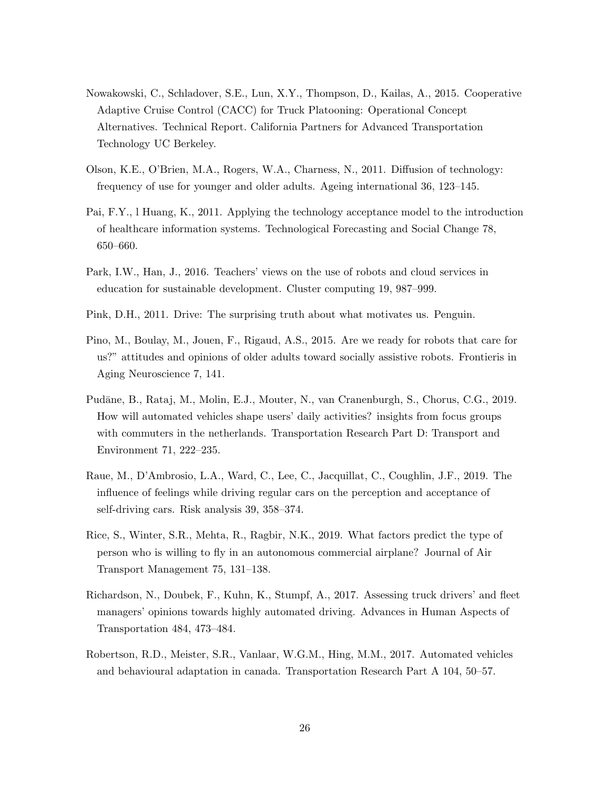- <span id="page-25-8"></span>Nowakowski, C., Schladover, S.E., Lun, X.Y., Thompson, D., Kailas, A., 2015. Cooperative Adaptive Cruise Control (CACC) for Truck Platooning: Operational Concept Alternatives. Technical Report. California Partners for Advanced Transportation Technology UC Berkeley.
- <span id="page-25-10"></span>Olson, K.E., O'Brien, M.A., Rogers, W.A., Charness, N., 2011. Diffusion of technology: frequency of use for younger and older adults. Ageing international 36, 123–145.
- <span id="page-25-3"></span>Pai, F.Y., l Huang, K., 2011. Applying the technology acceptance model to the introduction of healthcare information systems. Technological Forecasting and Social Change 78, 650–660.
- <span id="page-25-4"></span>Park, I.W., Han, J., 2016. Teachers' views on the use of robots and cloud services in education for sustainable development. Cluster computing 19, 987–999.
- <span id="page-25-9"></span>Pink, D.H., 2011. Drive: The surprising truth about what motivates us. Penguin.
- <span id="page-25-2"></span>Pino, M., Boulay, M., Jouen, F., Rigaud, A.S., 2015. Are we ready for robots that care for us?" attitudes and opinions of older adults toward socially assistive robots. Frontieris in Aging Neuroscience 7, 141.
- <span id="page-25-0"></span>Pud¯ane, B., Rataj, M., Molin, E.J., Mouter, N., van Cranenburgh, S., Chorus, C.G., 2019. How will automated vehicles shape users' daily activities? insights from focus groups with commuters in the netherlands. Transportation Research Part D: Transport and Environment 71, 222–235.
- <span id="page-25-6"></span>Raue, M., D'Ambrosio, L.A., Ward, C., Lee, C., Jacquillat, C., Coughlin, J.F., 2019. The influence of feelings while driving regular cars on the perception and acceptance of self-driving cars. Risk analysis 39, 358–374.
- <span id="page-25-5"></span>Rice, S., Winter, S.R., Mehta, R., Ragbir, N.K., 2019. What factors predict the type of person who is willing to fly in an autonomous commercial airplane? Journal of Air Transport Management 75, 131–138.
- <span id="page-25-1"></span>Richardson, N., Doubek, F., Kuhn, K., Stumpf, A., 2017. Assessing truck drivers' and fleet managers' opinions towards highly automated driving. Advances in Human Aspects of Transportation 484, 473–484.
- <span id="page-25-7"></span>Robertson, R.D., Meister, S.R., Vanlaar, W.G.M., Hing, M.M., 2017. Automated vehicles and behavioural adaptation in canada. Transportation Research Part A 104, 50–57.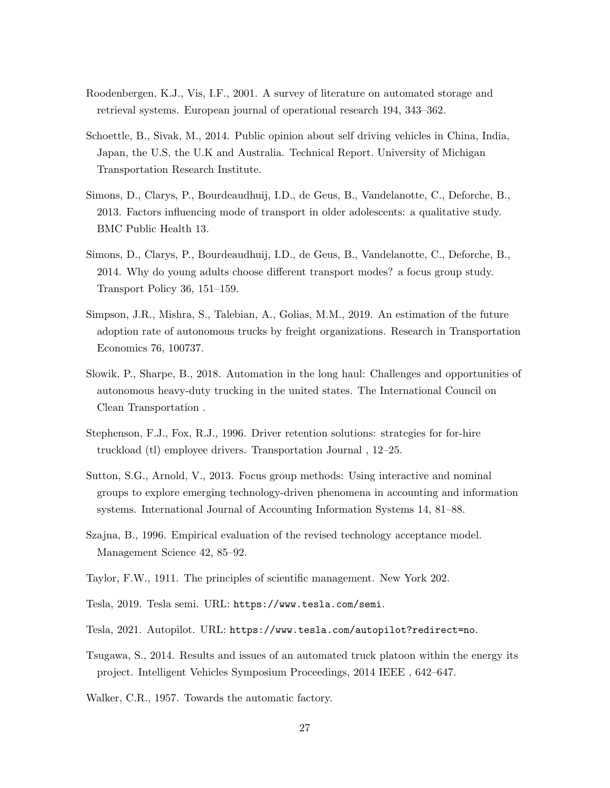- <span id="page-26-1"></span>Roodenbergen, K.J., Vis, I.F., 2001. A survey of literature on automated storage and retrieval systems. European journal of operational research 194, 343–362.
- <span id="page-26-8"></span>Schoettle, B., Sivak, M., 2014. Public opinion about self driving vehicles in China, India, Japan, the U.S, the U.K and Australia. Technical Report. University of Michigan Transportation Research Institute.
- <span id="page-26-11"></span>Simons, D., Clarys, P., Bourdeaudhuij, I.D., de Geus, B., Vandelanotte, C., Deforche, B., 2013. Factors influencing mode of transport in older adolescents: a qualitative study. BMC Public Health 13.
- <span id="page-26-10"></span>Simons, D., Clarys, P., Bourdeaudhuij, I.D., de Geus, B., Vandelanotte, C., Deforche, B., 2014. Why do young adults choose different transport modes? a focus group study. Transport Policy 36, 151–159.
- <span id="page-26-3"></span>Simpson, J.R., Mishra, S., Talebian, A., Golias, M.M., 2019. An estimation of the future adoption rate of autonomous trucks by freight organizations. Research in Transportation Economics 76, 100737.
- <span id="page-26-4"></span>Slowik, P., Sharpe, B., 2018. Automation in the long haul: Challenges and opportunities of autonomous heavy-duty trucking in the united states. The International Council on Clean Transportation .
- <span id="page-26-12"></span>Stephenson, F.J., Fox, R.J., 1996. Driver retention solutions: strategies for for-hire truckload (tl) employee drivers. Transportation Journal , 12–25.
- <span id="page-26-9"></span>Sutton, S.G., Arnold, V., 2013. Focus group methods: Using interactive and nominal groups to explore emerging technology-driven phenomena in accounting and information systems. International Journal of Accounting Information Systems 14, 81–88.
- <span id="page-26-6"></span>Szajna, B., 1996. Empirical evaluation of the revised technology acceptance model. Management Science 42, 85–92.
- <span id="page-26-13"></span>Taylor, F.W., 1911. The principles of scientific management. New York 202.
- <span id="page-26-2"></span>Tesla, 2019. Tesla semi. URL: <https://www.tesla.com/semi>.
- <span id="page-26-0"></span>Tesla, 2021. Autopilot. URL: <https://www.tesla.com/autopilot?redirect=no>.
- <span id="page-26-5"></span>Tsugawa, S., 2014. Results and issues of an automated truck platoon within the energy its project. Intelligent Vehicles Symposium Proceedings, 2014 IEEE , 642–647.
- <span id="page-26-7"></span>Walker, C.R., 1957. Towards the automatic factory.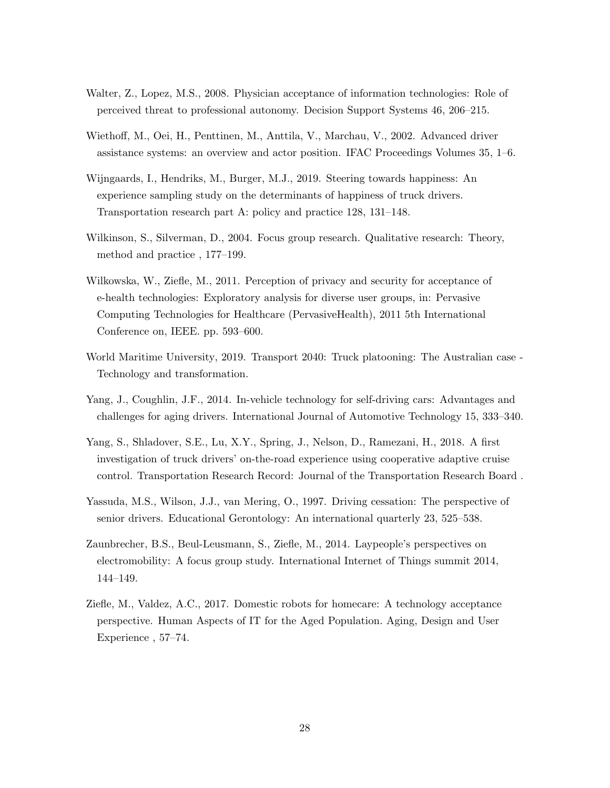- <span id="page-27-5"></span>Walter, Z., Lopez, M.S., 2008. Physician acceptance of information technologies: Role of perceived threat to professional autonomy. Decision Support Systems 46, 206–215.
- <span id="page-27-6"></span>Wiethoff, M., Oei, H., Penttinen, M., Anttila, V., Marchau, V., 2002. Advanced driver assistance systems: an overview and actor position. IFAC Proceedings Volumes 35, 1–6.
- <span id="page-27-10"></span>Wijngaards, I., Hendriks, M., Burger, M.J., 2019. Steering towards happiness: An experience sampling study on the determinants of happiness of truck drivers. Transportation research part A: policy and practice 128, 131–148.
- <span id="page-27-9"></span>Wilkinson, S., Silverman, D., 2004. Focus group research. Qualitative research: Theory, method and practice , 177–199.
- <span id="page-27-4"></span>Wilkowska, W., Ziefle, M., 2011. Perception of privacy and security for acceptance of e-health technologies: Exploratory analysis for diverse user groups, in: Pervasive Computing Technologies for Healthcare (PervasiveHealth), 2011 5th International Conference on, IEEE. pp. 593–600.
- <span id="page-27-1"></span>World Maritime University, 2019. Transport 2040: Truck platooning: The Australian case - Technology and transformation.
- <span id="page-27-0"></span>Yang, J., Coughlin, J.F., 2014. In-vehicle technology for self-driving cars: Advantages and challenges for aging drivers. International Journal of Automotive Technology 15, 333–340.
- <span id="page-27-2"></span>Yang, S., Shladover, S.E., Lu, X.Y., Spring, J., Nelson, D., Ramezani, H., 2018. A first investigation of truck drivers' on-the-road experience using cooperative adaptive cruise control. Transportation Research Record: Journal of the Transportation Research Board .
- <span id="page-27-8"></span>Yassuda, M.S., Wilson, J.J., van Mering, O., 1997. Driving cessation: The perspective of senior drivers. Educational Gerontology: An international quarterly 23, 525–538.
- <span id="page-27-7"></span>Zaunbrecher, B.S., Beul-Leusmann, S., Ziefle, M., 2014. Laypeople's perspectives on electromobility: A focus group study. International Internet of Things summit 2014, 144–149.
- <span id="page-27-3"></span>Ziefle, M., Valdez, A.C., 2017. Domestic robots for homecare: A technology acceptance perspective. Human Aspects of IT for the Aged Population. Aging, Design and User Experience , 57–74.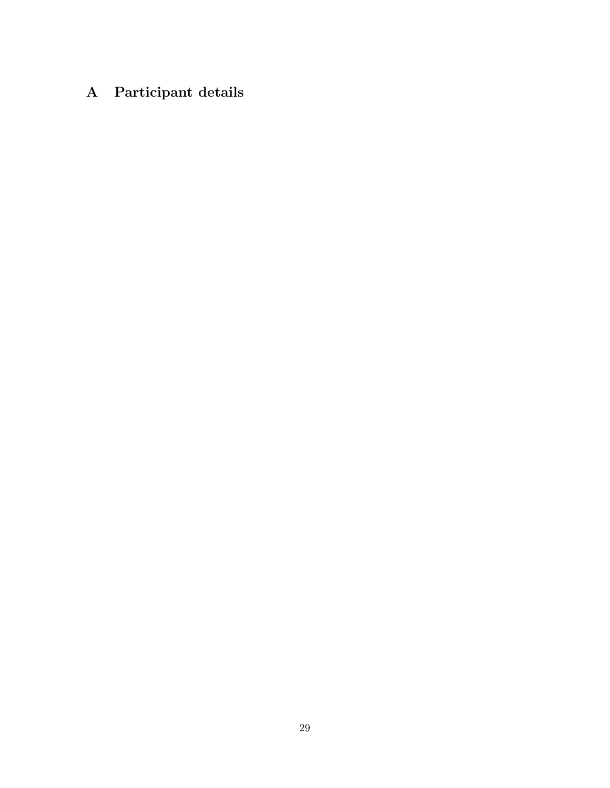# <span id="page-28-0"></span>A Participant details